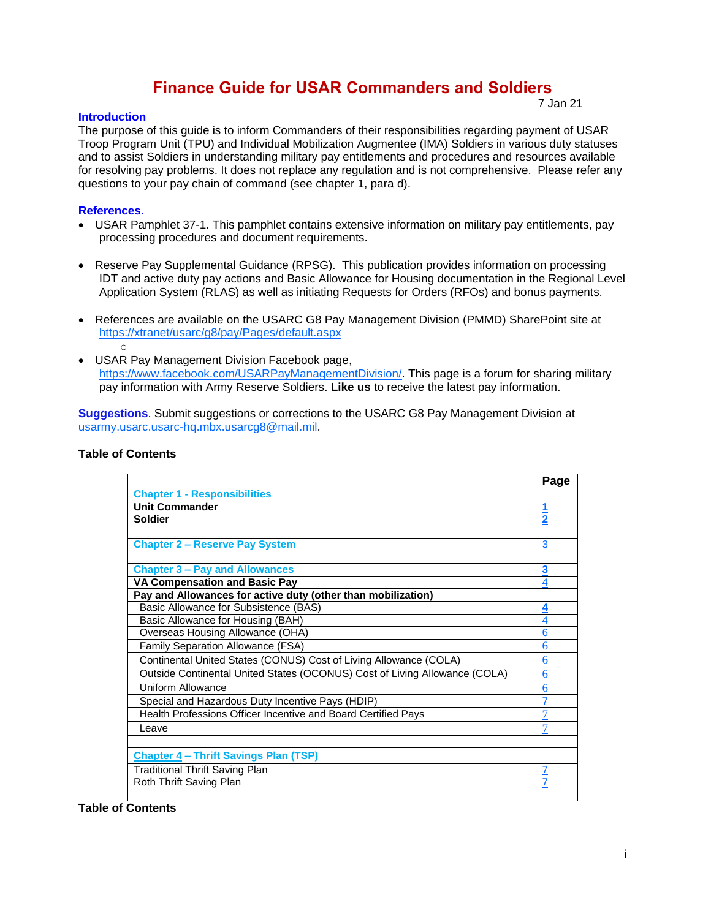# **Finance Guide for USAR Commanders and Soldiers**

### **Introduction**

7 Jan 21

The purpose of this guide is to inform Commanders of their responsibilities regarding payment of USAR Troop Program Unit (TPU) and Individual Mobilization Augmentee (IMA) Soldiers in various duty statuses and to assist Soldiers in understanding military pay entitlements and procedures and resources available for resolving pay problems. It does not replace any regulation and is not comprehensive. Please refer any questions to your pay chain of command (see chapter 1, para d).

#### **References.**

- USAR Pamphlet 37-1. This pamphlet contains extensive information on military pay entitlements, pay processing procedures and document requirements.
- Reserve Pay Supplemental Guidance (RPSG). This publication provides information on processing IDT and active duty pay actions and Basic Allowance for Housing documentation in the Regional Level Application System (RLAS) as well as initiating Requests for Orders (RFOs) and bonus payments.
- References are available on the USARC G8 Pay Management Division (PMMD) SharePoint site at <https://xtranet/usarc/g8/pay/Pages/default.aspx> o
- USAR Pay Management Division Facebook page, [https://www.facebook.com/USARPayManagementDivision/.](https://www.facebook.com/USARPayManagementDivision/) This page is a forum for sharing military pay information with Army Reserve Soldiers. **Like us** to receive the latest pay information.

**Suggestions**. Submit suggestions or corrections to the USARC G8 Pay Management Division at [usarmy.usarc.usarc-hq.mbx.usarcg8@mail.mil.](mailto:usarmy.usarc.usarc-hq.mbx.usarcg8@mail.mil)

#### **Table of Contents**

|                                                                            | Page           |
|----------------------------------------------------------------------------|----------------|
| <b>Chapter 1 - Responsibilities</b>                                        |                |
| <b>Unit Commander</b>                                                      |                |
| <b>Soldier</b>                                                             | $\overline{2}$ |
|                                                                            |                |
| <b>Chapter 2 - Reserve Pay System</b>                                      | 3              |
|                                                                            |                |
| <b>Chapter 3 - Pay and Allowances</b>                                      | 3              |
| <b>VA Compensation and Basic Pay</b>                                       | 4              |
| Pay and Allowances for active duty (other than mobilization)               |                |
| Basic Allowance for Subsistence (BAS)                                      | 4              |
| Basic Allowance for Housing (BAH)                                          | 4              |
| Overseas Housing Allowance (OHA)                                           | 6              |
| Family Separation Allowance (FSA)                                          | 6              |
| Continental United States (CONUS) Cost of Living Allowance (COLA)          | 6              |
| Outside Continental United States (OCONUS) Cost of Living Allowance (COLA) | 6              |
| Uniform Allowance                                                          | 6              |
| Special and Hazardous Duty Incentive Pays (HDIP)                           |                |
| Health Professions Officer Incentive and Board Certified Pays              |                |
| Leave                                                                      |                |
|                                                                            |                |
| <b>Chapter 4 - Thrift Savings Plan (TSP)</b>                               |                |
| <b>Traditional Thrift Saving Plan</b>                                      |                |
| Roth Thrift Saving Plan                                                    |                |
|                                                                            |                |

# **Table of Contents**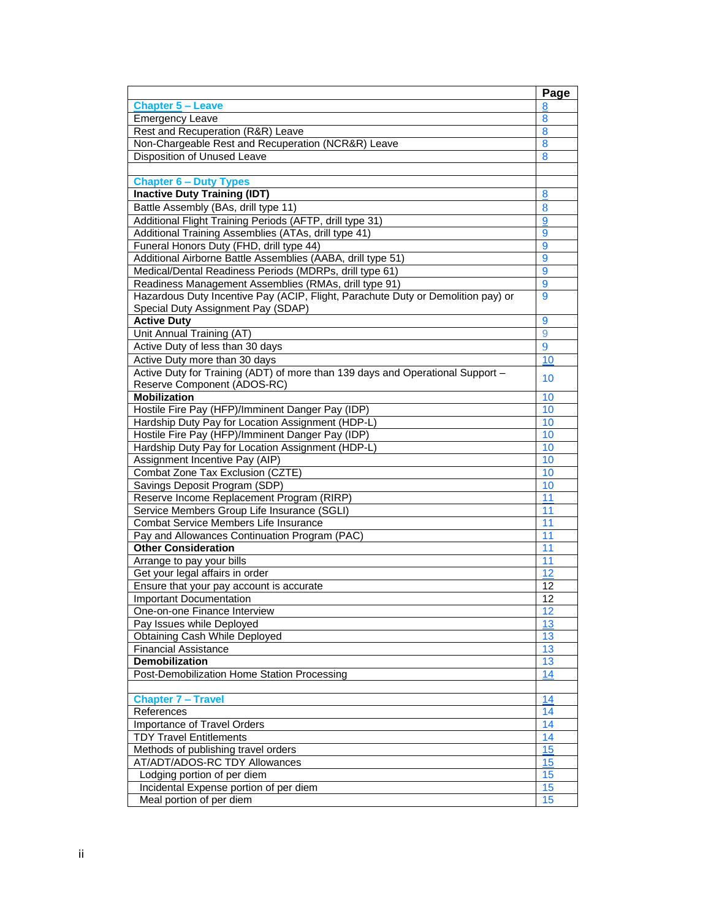|                                                                                  | Page     |
|----------------------------------------------------------------------------------|----------|
| <b>Chapter 5 - Leave</b>                                                         | 8        |
| Emergency Leave                                                                  | 8        |
| Rest and Recuperation (R&R) Leave                                                | 8        |
| Non-Chargeable Rest and Recuperation (NCR&R) Leave                               | 8        |
| Disposition of Unused Leave                                                      | 8        |
|                                                                                  |          |
| <b>Chapter 6 - Duty Types</b>                                                    |          |
| <b>Inactive Duty Training (IDT)</b>                                              | 8        |
| Battle Assembly (BAs, drill type 11)                                             | 8        |
| Additional Flight Training Periods (AFTP, drill type 31)                         | 9        |
| Additional Training Assemblies (ATAs, drill type 41)                             | 9        |
| Funeral Honors Duty (FHD, drill type 44)                                         | 9        |
| Additional Airborne Battle Assemblies (AABA, drill type 51)                      | 9        |
| Medical/Dental Readiness Periods (MDRPs, drill type 61)                          | 9        |
| Readiness Management Assemblies (RMAs, drill type 91)                            | 9        |
| Hazardous Duty Incentive Pay (ACIP, Flight, Parachute Duty or Demolition pay) or | 9        |
| Special Duty Assignment Pay (SDAP)                                               |          |
| <b>Active Duty</b>                                                               | 9        |
| Unit Annual Training (AT)                                                        | 9        |
| Active Duty of less than 30 days                                                 | 9        |
| Active Duty more than 30 days                                                    | 10       |
| Active Duty for Training (ADT) of more than 139 days and Operational Support -   | 10       |
| Reserve Component (ADOS-RC)                                                      |          |
| <b>Mobilization</b>                                                              | 10       |
| Hostile Fire Pay (HFP)/Imminent Danger Pay (IDP)                                 | 10       |
| Hardship Duty Pay for Location Assignment (HDP-L)                                | 10       |
| Hostile Fire Pay (HFP)/Imminent Danger Pay (IDP)                                 | 10       |
| Hardship Duty Pay for Location Assignment (HDP-L)                                | 10       |
| Assignment Incentive Pay (AIP)                                                   | 10       |
| Combat Zone Tax Exclusion (CZTE)                                                 | 10       |
| Savings Deposit Program (SDP)                                                    | 10       |
| Reserve Income Replacement Program (RIRP)                                        | 11       |
| Service Members Group Life Insurance (SGLI)                                      | 11       |
| Combat Service Members Life Insurance                                            | 11       |
| Pay and Allowances Continuation Program (PAC)<br><b>Other Consideration</b>      | 11       |
| Arrange to pay your bills                                                        | 11<br>11 |
| Get your legal affairs in order                                                  | 12       |
| Ensure that your pay account is accurate                                         | 12       |
| <b>Important Documentation</b>                                                   | 12       |
| One-on-one Finance Interview                                                     | 12       |
| Pay Issues while Deployed                                                        | 13       |
| Obtaining Cash While Deployed                                                    | 13       |
| <b>Financial Assistance</b>                                                      | 13       |
| <b>Demobilization</b>                                                            | 13       |
| Post-Demobilization Home Station Processing                                      | 14       |
|                                                                                  |          |
| <b>Chapter 7 - Travel</b>                                                        | 14       |
| References                                                                       | 14       |
| <b>Importance of Travel Orders</b>                                               | 14       |
| <b>TDY Travel Entitlements</b>                                                   | 14       |
| Methods of publishing travel orders                                              | 15       |
| AT/ADT/ADOS-RC TDY Allowances                                                    | 15       |
| Lodging portion of per diem                                                      | 15       |
| Incidental Expense portion of per diem                                           | 15       |
| Meal portion of per diem                                                         | 15       |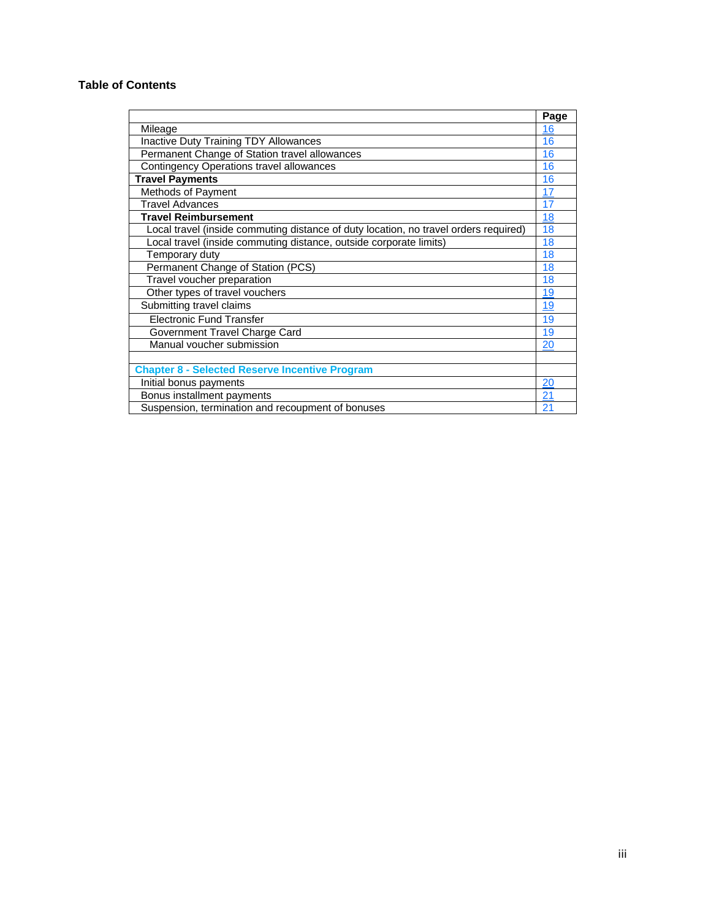# **Table of Contents**

|                                                                                      | Page      |
|--------------------------------------------------------------------------------------|-----------|
| Mileage                                                                              | 16        |
| <b>Inactive Duty Training TDY Allowances</b>                                         | 16        |
| Permanent Change of Station travel allowances                                        | 16        |
| <b>Contingency Operations travel allowances</b>                                      | 16        |
| <b>Travel Payments</b>                                                               | 16        |
| Methods of Payment                                                                   | 17        |
| <b>Travel Advances</b>                                                               | 17        |
| <b>Travel Reimbursement</b>                                                          | 18        |
| Local travel (inside commuting distance of duty location, no travel orders required) | 18        |
| Local travel (inside commuting distance, outside corporate limits)                   | 18        |
| Temporary duty                                                                       | 18        |
| Permanent Change of Station (PCS)                                                    | 18        |
| Travel voucher preparation                                                           | 18        |
| Other types of travel vouchers                                                       | <u>19</u> |
| Submitting travel claims                                                             | 19        |
| <b>Electronic Fund Transfer</b>                                                      | 19        |
| Government Travel Charge Card                                                        | 19        |
| Manual voucher submission                                                            | 20        |
|                                                                                      |           |
| <b>Chapter 8 - Selected Reserve Incentive Program</b>                                |           |
| Initial bonus payments                                                               | 20        |
| Bonus installment payments                                                           | 21        |
| Suspension, termination and recoupment of bonuses                                    | 21        |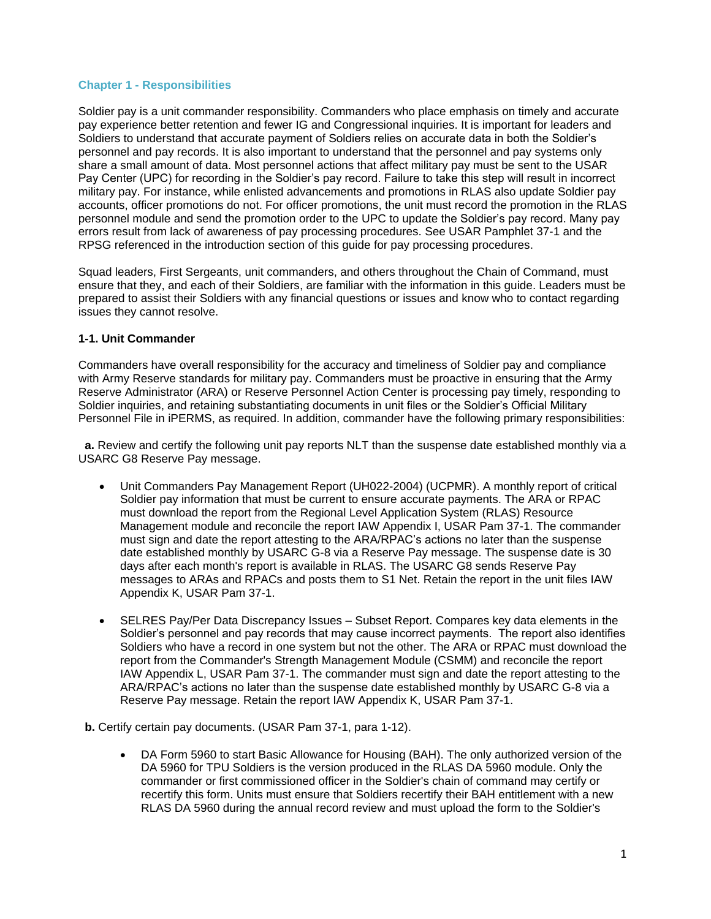### **Chapter 1 - Responsibilities**

Soldier pay is a unit commander responsibility. Commanders who place emphasis on timely and accurate pay experience better retention and fewer IG and Congressional inquiries. It is important for leaders and Soldiers to understand that accurate payment of Soldiers relies on accurate data in both the Soldier's personnel and pay records. It is also important to understand that the personnel and pay systems only share a small amount of data. Most personnel actions that affect military pay must be sent to the USAR Pay Center (UPC) for recording in the Soldier's pay record. Failure to take this step will result in incorrect military pay. For instance, while enlisted advancements and promotions in RLAS also update Soldier pay accounts, officer promotions do not. For officer promotions, the unit must record the promotion in the RLAS personnel module and send the promotion order to the UPC to update the Soldier's pay record. Many pay errors result from lack of awareness of pay processing procedures. See USAR Pamphlet 37-1 and the RPSG referenced in the introduction section of this guide for pay processing procedures.

Squad leaders, First Sergeants, unit commanders, and others throughout the Chain of Command, must ensure that they, and each of their Soldiers, are familiar with the information in this guide. Leaders must be prepared to assist their Soldiers with any financial questions or issues and know who to contact regarding issues they cannot resolve.

### <span id="page-4-0"></span>**1-1. Unit Commander**

Commanders have overall responsibility for the accuracy and timeliness of Soldier pay and compliance with Army Reserve standards for military pay. Commanders must be proactive in ensuring that the Army Reserve Administrator (ARA) or Reserve Personnel Action Center is processing pay timely, responding to Soldier inquiries, and retaining substantiating documents in unit files or the Soldier's Official Military Personnel File in iPERMS, as required. In addition, commander have the following primary responsibilities:

 **a.** Review and certify the following unit pay reports NLT than the suspense date established monthly via a USARC G8 Reserve Pay message.

- Unit Commanders Pay Management Report (UH022-2004) (UCPMR). A monthly report of critical Soldier pay information that must be current to ensure accurate payments. The ARA or RPAC must download the report from the Regional Level Application System (RLAS) Resource Management module and reconcile the report IAW Appendix I, USAR Pam 37-1. The commander must sign and date the report attesting to the ARA/RPAC's actions no later than the suspense date established monthly by USARC G-8 via a Reserve Pay message. The suspense date is 30 days after each month's report is available in RLAS. The USARC G8 sends Reserve Pay messages to ARAs and RPACs and posts them to S1 Net. Retain the report in the unit files IAW Appendix K, USAR Pam 37-1.
- SELRES Pay/Per Data Discrepancy Issues Subset Report. Compares key data elements in the Soldier's personnel and pay records that may cause incorrect payments. The report also identifies Soldiers who have a record in one system but not the other. The ARA or RPAC must download the report from the Commander's Strength Management Module (CSMM) and reconcile the report IAW Appendix L, USAR Pam 37-1. The commander must sign and date the report attesting to the ARA/RPAC's actions no later than the suspense date established monthly by USARC G-8 via a Reserve Pay message. Retain the report IAW Appendix K, USAR Pam 37-1.

 **b.** Certify certain pay documents. (USAR Pam 37-1, para 1-12).

 DA Form 5960 to start Basic Allowance for Housing (BAH). The only authorized version of the DA 5960 for TPU Soldiers is the version produced in the RLAS DA 5960 module. Only the commander or first commissioned officer in the Soldier's chain of command may certify or recertify this form. Units must ensure that Soldiers recertify their BAH entitlement with a new RLAS DA 5960 during the annual record review and must upload the form to the Soldier's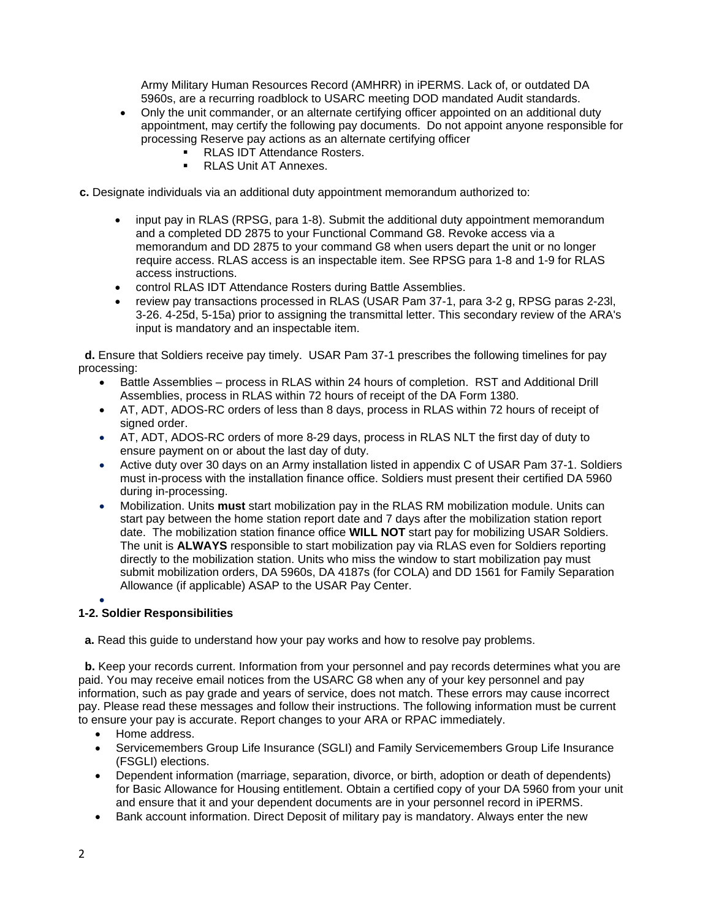Army Military Human Resources Record (AMHRR) in iPERMS. Lack of, or outdated DA 5960s, are a recurring roadblock to USARC meeting DOD mandated Audit standards.

- Only the unit commander, or an alternate certifying officer appointed on an additional duty appointment, may certify the following pay documents. Do not appoint anyone responsible for processing Reserve pay actions as an alternate certifying officer
	- **RLAS IDT Attendance Rosters.**<br>RLAS Unit AT Annexes
	- RLAS Unit AT Annexes.
- **c.** Designate individuals via an additional duty appointment memorandum authorized to:
	- input pay in RLAS (RPSG, para 1-8). Submit the additional duty appointment memorandum and a completed DD 2875 to your Functional Command G8. Revoke access via a memorandum and DD 2875 to your command G8 when users depart the unit or no longer require access. RLAS access is an inspectable item. See RPSG para 1-8 and 1-9 for RLAS access instructions.
	- control RLAS IDT Attendance Rosters during Battle Assemblies.
	- review pay transactions processed in RLAS (USAR Pam 37-1, para 3-2 g, RPSG paras 2-23l, 3-26. 4-25d, 5-15a) prior to assigning the transmittal letter. This secondary review of the ARA's input is mandatory and an inspectable item.

<span id="page-5-0"></span> **d.** Ensure that Soldiers receive pay timely. USAR Pam 37-1 prescribes the following timelines for pay processing:

- Battle Assemblies process in RLAS within 24 hours of completion. RST and Additional Drill Assemblies, process in RLAS within 72 hours of receipt of the DA Form 1380.
- AT, ADT, ADOS-RC orders of less than 8 days, process in RLAS within 72 hours of receipt of signed order.
- AT, ADT, ADOS-RC orders of more 8-29 days, process in RLAS NLT the first day of duty to ensure payment on or about the last day of duty.
- Active duty over 30 days on an Army installation listed in appendix C of USAR Pam 37-1. Soldiers must in-process with the installation finance office. Soldiers must present their certified DA 5960 during in-processing.
- Mobilization. Units **must** start mobilization pay in the RLAS RM mobilization module. Units can start pay between the home station report date and 7 days after the mobilization station report date. The mobilization station finance office **WILL NOT** start pay for mobilizing USAR Soldiers. The unit is **ALWAYS** responsible to start mobilization pay via RLAS even for Soldiers reporting directly to the mobilization station. Units who miss the window to start mobilization pay must submit mobilization orders, DA 5960s, DA 4187s (for COLA) and DD 1561 for Family Separation Allowance (if applicable) ASAP to the USAR Pay Center.

#### $\bullet$ **1-2. Soldier Responsibilities**

**a.** Read this guide to understand how your pay works and how to resolve pay problems.

**b.** Keep your records current. Information from your personnel and pay records determines what you are paid. You may receive email notices from the USARC G8 when any of your key personnel and pay information, such as pay grade and years of service, does not match. These errors may cause incorrect pay. Please read these messages and follow their instructions. The following information must be current to ensure your pay is accurate. Report changes to your ARA or RPAC immediately.

- Home address.
- Servicemembers Group Life Insurance (SGLI) and Family Servicemembers Group Life Insurance (FSGLI) elections.
- Dependent information (marriage, separation, divorce, or birth, adoption or death of dependents) for Basic Allowance for Housing entitlement. Obtain a certified copy of your DA 5960 from your unit and ensure that it and your dependent documents are in your personnel record in iPERMS.
- Bank account information. Direct Deposit of military pay is mandatory. Always enter the new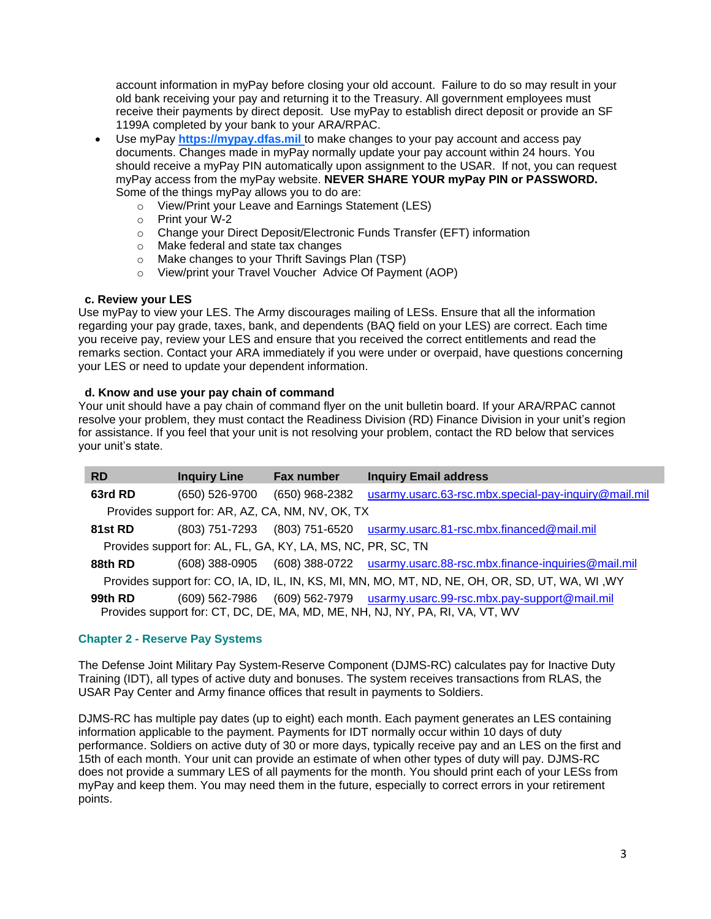account information in myPay before closing your old account. Failure to do so may result in your old bank receiving your pay and returning it to the Treasury. All government employees must receive their payments by direct deposit. Use myPay to establish direct deposit or provide an SF 1199A completed by your bank to your ARA/RPAC.

- Use myPay **[https://mypay.dfas.mil](https://mypay.dfas.mil/)** to make changes to your pay account and access pay documents. Changes made in myPay normally update your pay account within 24 hours. You should receive a myPay PIN automatically upon assignment to the USAR. If not, you can request myPay access from the myPay website. **NEVER SHARE YOUR myPay PIN or PASSWORD.**  Some of the things myPay allows you to do are:
	- o View/Print your Leave and Earnings Statement (LES)
	- o Print your W-2
	- o Change your Direct Deposit/Electronic Funds Transfer (EFT) information
	- o Make federal and state tax changes
	- o Make changes to your Thrift Savings Plan (TSP)
	- o View/print your Travel Voucher Advice Of Payment (AOP)

# **c. Review your LES**

Use myPay to view your LES. The Army discourages mailing of LESs. Ensure that all the information regarding your pay grade, taxes, bank, and dependents (BAQ field on your LES) are correct. Each time you receive pay, review your LES and ensure that you received the correct entitlements and read the remarks section. Contact your ARA immediately if you were under or overpaid, have questions concerning your LES or need to update your dependent information.

# **d. Know and use your pay chain of command**

Your unit should have a pay chain of command flyer on the unit bulletin board. If your ARA/RPAC cannot resolve your problem, they must contact the Readiness Division (RD) Finance Division in your unit's region for assistance. If you feel that your unit is not resolving your problem, contact the RD below that services your unit's state.

| <b>RD</b> | <b>Inquiry Line</b>                                          | <b>Fax number</b> | <b>Inquiry Email address</b>                                                                                                                               |
|-----------|--------------------------------------------------------------|-------------------|------------------------------------------------------------------------------------------------------------------------------------------------------------|
| 63rd RD   | (650) 526-9700                                               | (650) 968-2382    | usarmy.usarc.63-rsc.mbx.special-pay-inquiry@mail.mil                                                                                                       |
|           | Provides support for: AR, AZ, CA, NM, NV, OK, TX             |                   |                                                                                                                                                            |
| 81st RD   |                                                              |                   | (803) 751-7293 (803) 751-6520 usarmy.usarc.81-rsc.mbx.financed@mail.mil                                                                                    |
|           | Provides support for: AL, FL, GA, KY, LA, MS, NC, PR, SC, TN |                   |                                                                                                                                                            |
| 88th RD   |                                                              |                   | (608) 388-0905 (608) 388-0722 usarmy.usarc.88-rsc.mbx.finance-inquiries@mail.mil                                                                           |
|           |                                                              |                   | Provides support for: CO, IA, ID, IL, IN, KS, MI, MN, MO, MT, ND, NE, OH, OR, SD, UT, WA, WI, WY                                                           |
| 99th RD   |                                                              |                   | (609) 562-7986 (609) 562-7979 usarmy.usarc.99-rsc.mbx.pay-support@mail.mil<br>Provides support for: CT, DC, DE, MA, MD, ME, NH, NJ, NY, PA, RI, VA, VT, WV |

# <span id="page-6-0"></span>**Chapter 2 - Reserve Pay Systems**

The Defense Joint Military Pay System-Reserve Component (DJMS-RC) calculates pay for Inactive Duty Training (IDT), all types of active duty and bonuses. The system receives transactions from RLAS, the USAR Pay Center and Army finance offices that result in payments to Soldiers.

DJMS-RC has multiple pay dates (up to eight) each month. Each payment generates an LES containing information applicable to the payment. Payments for IDT normally occur within 10 days of duty performance. Soldiers on active duty of 30 or more days, typically receive pay and an LES on the first and 15th of each month. Your unit can provide an estimate of when other types of duty will pay. DJMS-RC does not provide a summary LES of all payments for the month. You should print each of your LESs from myPay and keep them. You may need them in the future, especially to correct errors in your retirement points.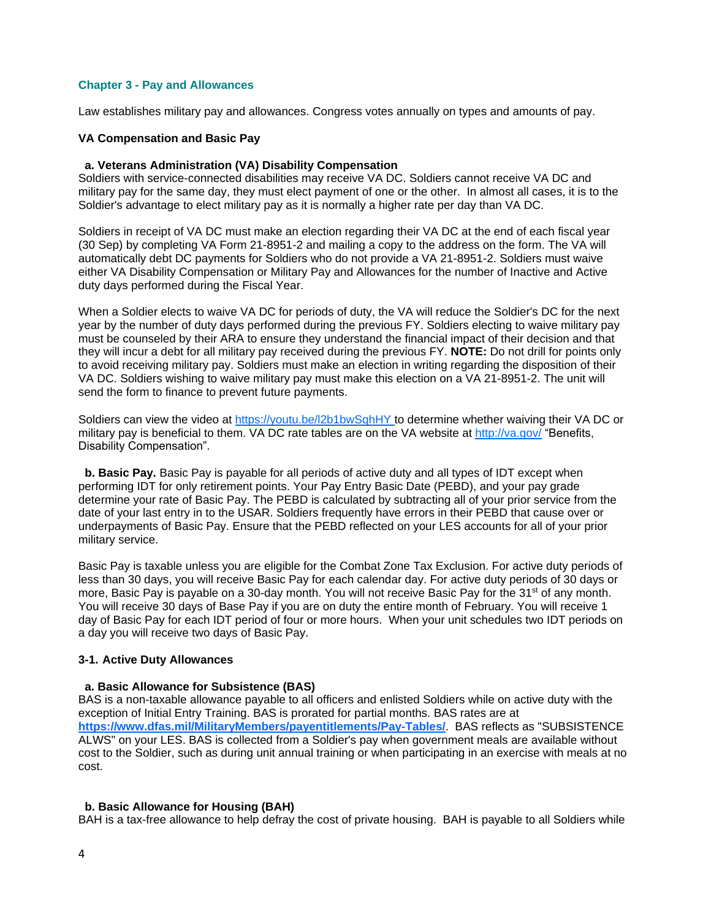### **Chapter 3 - Pay and Allowances**

Law establishes military pay and allowances. Congress votes annually on types and amounts of pay.

### <span id="page-7-0"></span>**VA Compensation and Basic Pay**

#### **a. Veterans Administration (VA) Disability Compensation**

Soldiers with service-connected disabilities may receive VA DC. Soldiers cannot receive VA DC and military pay for the same day, they must elect payment of one or the other. In almost all cases, it is to the Soldier's advantage to elect military pay as it is normally a higher rate per day than VA DC.

Soldiers in receipt of VA DC must make an election regarding their VA DC at the end of each fiscal year (30 Sep) by completing VA Form 21-8951-2 and mailing a copy to the address on the form. The VA will automatically debt DC payments for Soldiers who do not provide a VA 21-8951-2. Soldiers must waive either VA Disability Compensation or Military Pay and Allowances for the number of Inactive and Active duty days performed during the Fiscal Year.

When a Soldier elects to waive VA DC for periods of duty, the VA will reduce the Soldier's DC for the next year by the number of duty days performed during the previous FY. Soldiers electing to waive military pay must be counseled by their ARA to ensure they understand the financial impact of their decision and that they will incur a debt for all military pay received during the previous FY. **NOTE:** Do not drill for points only to avoid receiving military pay. Soldiers must make an election in writing regarding the disposition of their VA DC. Soldiers wishing to waive military pay must make this election on a VA 21-8951-2. The unit will send the form to finance to prevent future payments.

Soldiers can view the video at<https://youtu.be/l2b1bwSqhHY> to determine whether waiving their VA DC or military pay is beneficial to them. VA DC rate tables are on the VA website at<http://va.gov/> "Benefits, Disability Compensation".

 **b. Basic Pay.** Basic Pay is payable for all periods of active duty and all types of IDT except when performing IDT for only retirement points. Your Pay Entry Basic Date (PEBD), and your pay grade determine your rate of Basic Pay. The PEBD is calculated by subtracting all of your prior service from the date of your last entry in to the USAR. Soldiers frequently have errors in their PEBD that cause over or underpayments of Basic Pay. Ensure that the PEBD reflected on your LES accounts for all of your prior military service.

Basic Pay is taxable unless you are eligible for the Combat Zone Tax Exclusion. For active duty periods of less than 30 days, you will receive Basic Pay for each calendar day. For active duty periods of 30 days or more, Basic Pay is payable on a 30-day month. You will not receive Basic Pay for the 31<sup>st</sup> of any month. You will receive 30 days of Base Pay if you are on duty the entire month of February. You will receive 1 day of Basic Pay for each IDT period of four or more hours. When your unit schedules two IDT periods on a day you will receive two days of Basic Pay.

### <span id="page-7-1"></span>**3-1. Active Duty Allowances**

### **a. Basic Allowance for Subsistence (BAS)**

BAS is a non-taxable allowance payable to all officers and enlisted Soldiers while on active duty with the exception of Initial Entry Training. BAS is prorated for partial months. BAS rates are at **<https://www.dfas.mil/MilitaryMembers/payentitlements/Pay-Tables/>**. BAS reflects as "SUBSISTENCE ALWS" on your LES. BAS is collected from a Soldier's pay when government meals are available without cost to the Soldier, such as during unit annual training or when participating in an exercise with meals at no cost.

### **b. Basic Allowance for Housing (BAH)**

BAH is a tax-free allowance to help defray the cost of private housing. BAH is payable to all Soldiers while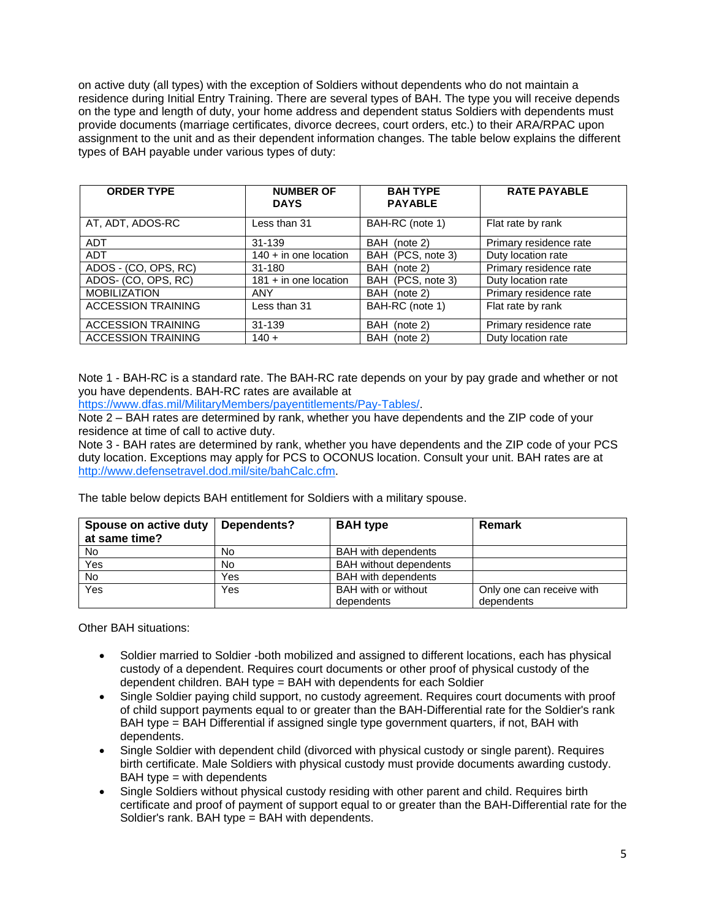on active duty (all types) with the exception of Soldiers without dependents who do not maintain a residence during Initial Entry Training. There are several types of BAH. The type you will receive depends on the type and length of duty, your home address and dependent status Soldiers with dependents must provide documents (marriage certificates, divorce decrees, court orders, etc.) to their ARA/RPAC upon assignment to the unit and as their dependent information changes. The table below explains the different types of BAH payable under various types of duty:

| <b>ORDER TYPE</b>         | <b>NUMBER OF</b><br><b>DAYS</b> | <b>BAH TYPE</b><br><b>PAYABLE</b> | <b>RATE PAYABLE</b>    |
|---------------------------|---------------------------------|-----------------------------------|------------------------|
| AT, ADT, ADOS-RC          | Less than 31                    | BAH-RC (note 1)                   | Flat rate by rank      |
| <b>ADT</b>                | 31-139                          | BAH (note 2)                      | Primary residence rate |
| <b>ADT</b>                | $140 + in$ one location         | BAH (PCS, note 3)                 | Duty location rate     |
| ADOS - (CO, OPS, RC)      | 31-180                          | BAH (note 2)                      | Primary residence rate |
| ADOS- (CO, OPS, RC)       | $181 + in$ one location         | BAH (PCS, note 3)                 | Duty location rate     |
| <b>MOBILIZATION</b>       | <b>ANY</b>                      | BAH (note 2)                      | Primary residence rate |
| <b>ACCESSION TRAINING</b> | Less than 31                    | BAH-RC (note 1)                   | Flat rate by rank      |
| <b>ACCESSION TRAINING</b> | 31-139                          | BAH (note 2)                      | Primary residence rate |
| <b>ACCESSION TRAINING</b> | $140 +$                         | BAH (note 2)                      | Duty location rate     |

Note 1 - BAH-RC is a standard rate. The BAH-RC rate depends on your by pay grade and whether or not you have dependents. BAH-RC rates are available at

https://www.dfas.mil/MilitaryMembers/payentitlements/Pay-Tables/.

Note 2 – BAH rates are determined by rank, whether you have dependents and the ZIP code of your residence at time of call to active duty.

Note 3 - BAH rates are determined by rank, whether you have dependents and the ZIP code of your PCS duty location. Exceptions may apply for PCS to OCONUS location. Consult your unit. BAH rates are at [http://www.defensetravel.dod.mil/site/bahCalc.cfm.](http://www.defensetravel.dod.mil/site/bahCalc.cfm)

The table below depicts BAH entitlement for Soldiers with a military spouse.

| Spouse on active duty<br>at same time? | Dependents? | <b>BAH</b> type               | <b>Remark</b>             |
|----------------------------------------|-------------|-------------------------------|---------------------------|
| <b>No</b>                              | No          | <b>BAH</b> with dependents    |                           |
| Yes                                    | No          | <b>BAH</b> without dependents |                           |
| <b>No</b>                              | Yes         | <b>BAH</b> with dependents    |                           |
| Yes                                    | Yes         | <b>BAH</b> with or without    | Only one can receive with |
|                                        |             | dependents                    | dependents                |

Other BAH situations:

- Soldier married to Soldier -both mobilized and assigned to different locations, each has physical custody of a dependent. Requires court documents or other proof of physical custody of the dependent children. BAH type = BAH with dependents for each Soldier
- Single Soldier paying child support, no custody agreement. Requires court documents with proof of child support payments equal to or greater than the BAH-Differential rate for the Soldier's rank BAH type = BAH Differential if assigned single type government quarters, if not, BAH with dependents.
- Single Soldier with dependent child (divorced with physical custody or single parent). Requires birth certificate. Male Soldiers with physical custody must provide documents awarding custody.  $BAH$  type  $=$  with dependents
- Single Soldiers without physical custody residing with other parent and child. Requires birth certificate and proof of payment of support equal to or greater than the BAH-Differential rate for the Soldier's rank. BAH type = BAH with dependents.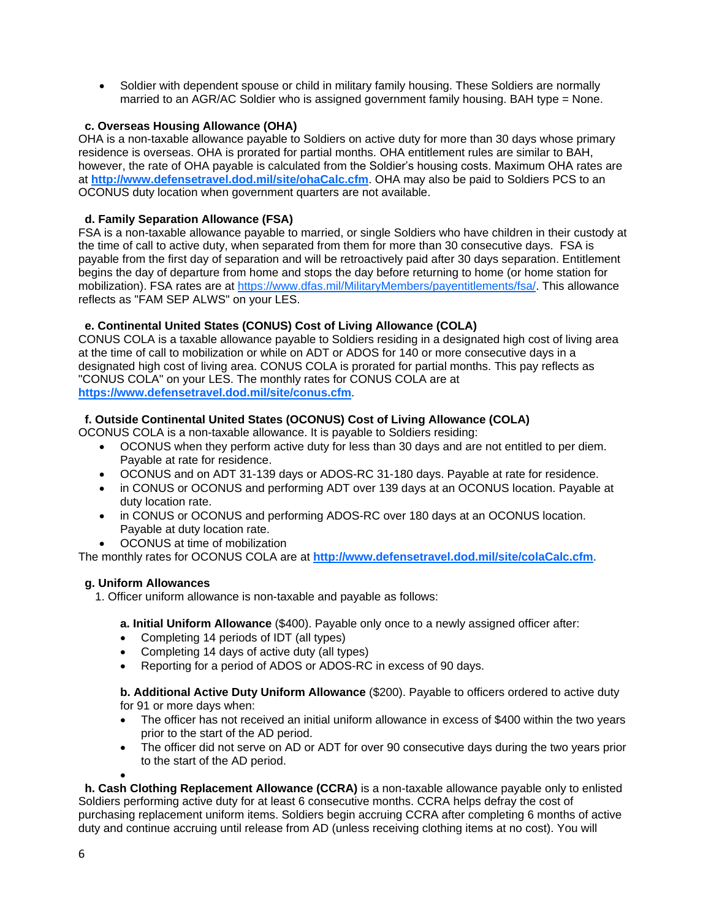Soldier with dependent spouse or child in military family housing. These Soldiers are normally married to an AGR/AC Soldier who is assigned government family housing. BAH type = None.

# <span id="page-9-0"></span> **c. Overseas Housing Allowance (OHA)**

OHA is a non-taxable allowance payable to Soldiers on active duty for more than 30 days whose primary residence is overseas. OHA is prorated for partial months. OHA entitlement rules are similar to BAH, however, the rate of OHA payable is calculated from the Soldier's housing costs. Maximum OHA rates are at **<http://www.defensetravel.dod.mil/site/ohaCalc.cfm>**. OHA may also be paid to Soldiers PCS to an OCONUS duty location when government quarters are not available.

# **d. Family Separation Allowance (FSA)**

FSA is a non-taxable allowance payable to married, or single Soldiers who have children in their custody at the time of call to active duty, when separated from them for more than 30 consecutive days. FSA is payable from the first day of separation and will be retroactively paid after 30 days separation. Entitlement begins the day of departure from home and stops the day before returning to home (or home station for mobilization). FSA rates are at https://www.dfas.mil/MilitaryMembers/payentitlements/fsa/. This allowance reflects as "FAM SEP ALWS" on your LES.

# **e. Continental United States (CONUS) Cost of Living Allowance (COLA)**

CONUS COLA is a taxable allowance payable to Soldiers residing in a designated high cost of living area at the time of call to mobilization or while on ADT or ADOS for 140 or more consecutive days in a designated high cost of living area. CONUS COLA is prorated for partial months. This pay reflects as "CONUS COLA" on your LES. The monthly rates for CONUS COLA are at **https://www.defensetravel.dod.mil/site/conus.cfm**.

# **f. Outside Continental United States (OCONUS) Cost of Living Allowance (COLA)**

OCONUS COLA is a non-taxable allowance. It is payable to Soldiers residing:

- OCONUS when they perform active duty for less than 30 days and are not entitled to per diem. Payable at rate for residence.
- OCONUS and on ADT 31-139 days or ADOS-RC 31-180 days. Payable at rate for residence.
- in CONUS or OCONUS and performing ADT over 139 days at an OCONUS location. Payable at duty location rate.
- in CONUS or OCONUS and performing ADOS-RC over 180 days at an OCONUS location. Payable at duty location rate.
- OCONUS at time of mobilization

The monthly rates for OCONUS COLA are at **<http://www.defensetravel.dod.mil/site/colaCalc.cfm>**.

# **g. Uniform Allowances**

1. Officer uniform allowance is non-taxable and payable as follows:

**a. Initial Uniform Allowance** (\$400). Payable only once to a newly assigned officer after:

- Completing 14 periods of IDT (all types)
- Completing 14 days of active duty (all types)
- Reporting for a period of ADOS or ADOS-RC in excess of 90 days.

**b. Additional Active Duty Uniform Allowance** (\$200). Payable to officers ordered to active duty for 91 or more days when:

- The officer has not received an initial uniform allowance in excess of \$400 within the two years prior to the start of the AD period.
- The officer did not serve on AD or ADT for over 90 consecutive days during the two years prior to the start of the AD period.

 **h. Cash Clothing Replacement Allowance (CCRA)** is a non-taxable allowance payable only to enlisted Soldiers performing active duty for at least 6 consecutive months. CCRA helps defray the cost of purchasing replacement uniform items. Soldiers begin accruing CCRA after completing 6 months of active duty and continue accruing until release from AD (unless receiving clothing items at no cost). You will

 $\bullet$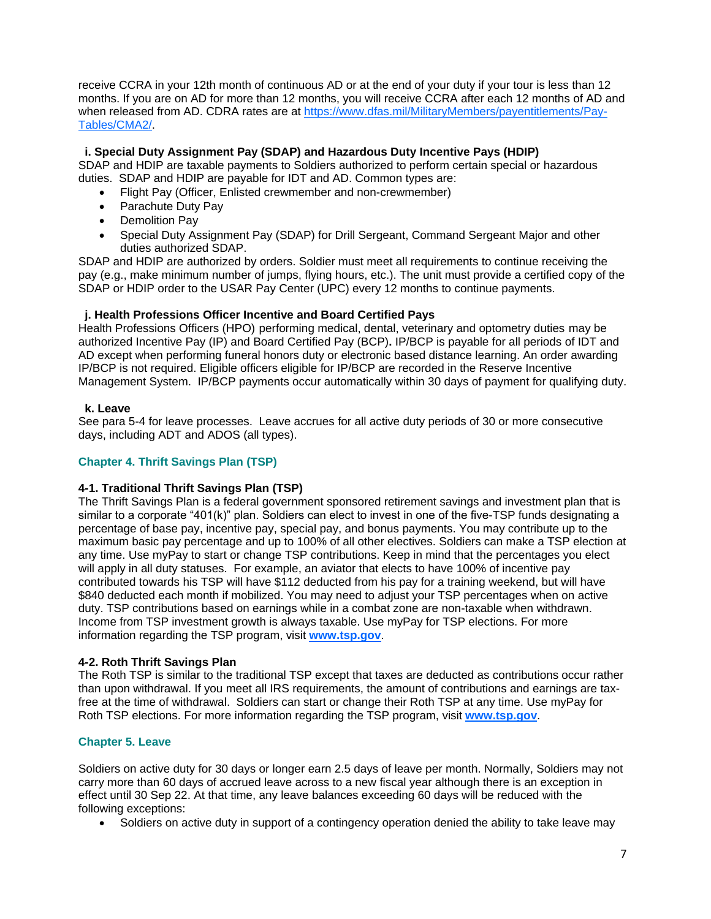receive CCRA in your 12th month of continuous AD or at the end of your duty if your tour is less than 12 months. If you are on AD for more than 12 months, you will receive CCRA after each 12 months of AD and when released from AD. CDRA rates are at https://www.dfas.mil/MilitaryMembers/payentitlements/Pay-Tables/CMA2/.

### <span id="page-10-0"></span> **i. Special Duty Assignment Pay (SDAP) and Hazardous Duty Incentive Pays (HDIP)**

SDAP and HDIP are taxable payments to Soldiers authorized to perform certain special or hazardous duties. SDAP and HDIP are payable for IDT and AD. Common types are:

- Flight Pay (Officer, Enlisted crewmember and non-crewmember)
- Parachute Duty Pay
- Demolition Pav
- Special Duty Assignment Pay (SDAP) for Drill Sergeant, Command Sergeant Major and other duties authorized SDAP.

SDAP and HDIP are authorized by orders. Soldier must meet all requirements to continue receiving the pay (e.g., make minimum number of jumps, flying hours, etc.). The unit must provide a certified copy of the SDAP or HDIP order to the USAR Pay Center (UPC) every 12 months to continue payments.

# **j. Health Professions Officer Incentive and Board Certified Pays**

Health Professions Officers (HPO) performing medical, dental, veterinary and optometry duties may be authorized Incentive Pay (IP) and Board Certified Pay (BCP)**.** IP/BCP is payable for all periods of IDT and AD except when performing funeral honors duty or electronic based distance learning. An order awarding IP/BCP is not required. Eligible officers eligible for IP/BCP are recorded in the Reserve Incentive Management System. IP/BCP payments occur automatically within 30 days of payment for qualifying duty.

# **k. Leave**

See para 5-4 for leave processes. Leave accrues for all active duty periods of 30 or more consecutive days, including ADT and ADOS (all types).

# <span id="page-10-1"></span>**Chapter 4. Thrift Savings Plan (TSP)**

# <span id="page-10-2"></span>**4-1. Traditional Thrift Savings Plan (TSP)**

The Thrift Savings Plan is a federal government sponsored retirement savings and investment plan that is similar to a corporate "401(k)" plan. Soldiers can elect to invest in one of the five-TSP funds designating a percentage of base pay, incentive pay, special pay, and bonus payments. You may contribute up to the maximum basic pay percentage and up to 100% of all other electives. Soldiers can make a TSP election at any time. Use myPay to start or change TSP contributions. Keep in mind that the percentages you elect will apply in all duty statuses. For example, an aviator that elects to have 100% of incentive pay contributed towards his TSP will have \$112 deducted from his pay for a training weekend, but will have \$840 deducted each month if mobilized. You may need to adjust your TSP percentages when on active duty. TSP contributions based on earnings while in a combat zone are non-taxable when withdrawn. Income from TSP investment growth is always taxable. Use myPay for TSP elections. For more information regarding the TSP program, visit **[www.tsp.gov](http://www.tsp.gov/)**.

### **4-2. Roth Thrift Savings Plan**

The Roth TSP is similar to the traditional TSP except that taxes are deducted as contributions occur rather than upon withdrawal. If you meet all IRS requirements, the amount of contributions and earnings are taxfree at the time of withdrawal. Soldiers can start or change their Roth TSP at any time. Use myPay for Roth TSP elections. For more information regarding the TSP program, visit **[www.tsp.gov](http://www.tsp.gov/)**.

### **Chapter 5. Leave**

Soldiers on active duty for 30 days or longer earn 2.5 days of leave per month. Normally, Soldiers may not carry more than 60 days of accrued leave across to a new fiscal year although there is an exception in effect until 30 Sep 22. At that time, any leave balances exceeding 60 days will be reduced with the following exceptions:

Soldiers on active duty in support of a contingency operation denied the ability to take leave may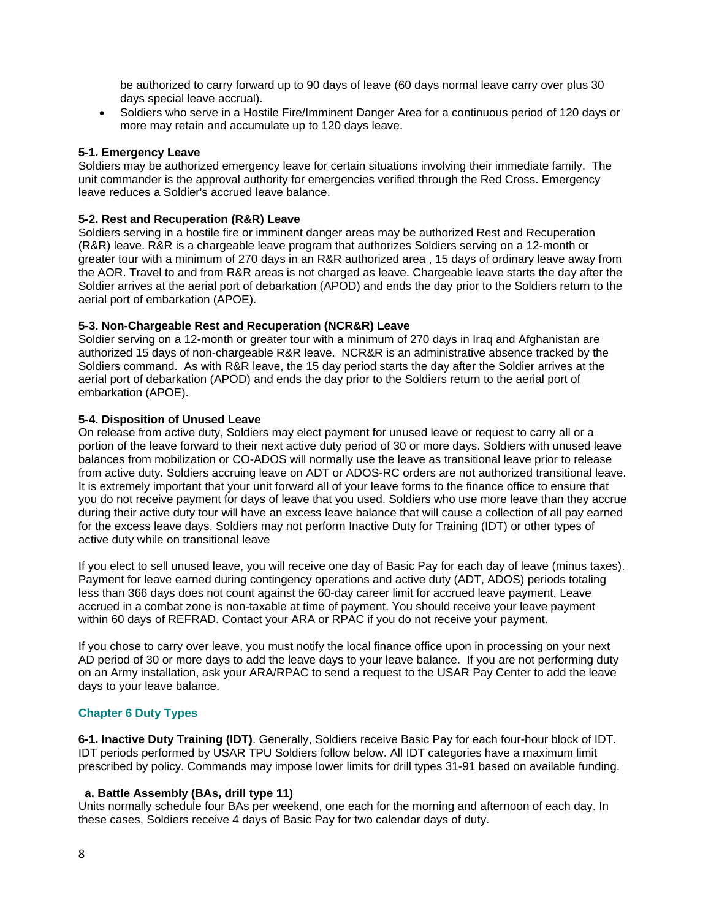be authorized to carry forward up to 90 days of leave (60 days normal leave carry over plus 30 days special leave accrual).

 Soldiers who serve in a Hostile Fire/Imminent Danger Area for a continuous period of 120 days or more may retain and accumulate up to 120 days leave.

### <span id="page-11-0"></span>**5-1. Emergency Leave**

Soldiers may be authorized emergency leave for certain situations involving their immediate family. The unit commander is the approval authority for emergencies verified through the Red Cross. Emergency leave reduces a Soldier's accrued leave balance.

### **5-2. Rest and Recuperation (R&R) Leave**

Soldiers serving in a hostile fire or imminent danger areas may be authorized Rest and Recuperation (R&R) leave. R&R is a chargeable leave program that authorizes Soldiers serving on a 12-month or greater tour with a minimum of 270 days in an R&R authorized area , 15 days of ordinary leave away from the AOR. Travel to and from R&R areas is not charged as leave. Chargeable leave starts the day after the Soldier arrives at the aerial port of debarkation (APOD) and ends the day prior to the Soldiers return to the aerial port of embarkation (APOE).

### **5-3. Non-Chargeable Rest and Recuperation (NCR&R) Leave**

Soldier serving on a 12-month or greater tour with a minimum of 270 days in Iraq and Afghanistan are authorized 15 days of non-chargeable R&R leave. NCR&R is an administrative absence tracked by the Soldiers command. As with R&R leave, the 15 day period starts the day after the Soldier arrives at the aerial port of debarkation (APOD) and ends the day prior to the Soldiers return to the aerial port of embarkation (APOE).

#### **5-4. Disposition of Unused Leave**

On release from active duty, Soldiers may elect payment for unused leave or request to carry all or a portion of the leave forward to their next active duty period of 30 or more days. Soldiers with unused leave balances from mobilization or CO-ADOS will normally use the leave as transitional leave prior to release from active duty. Soldiers accruing leave on ADT or ADOS-RC orders are not authorized transitional leave. It is extremely important that your unit forward all of your leave forms to the finance office to ensure that you do not receive payment for days of leave that you used. Soldiers who use more leave than they accrue during their active duty tour will have an excess leave balance that will cause a collection of all pay earned for the excess leave days. Soldiers may not perform Inactive Duty for Training (IDT) or other types of active duty while on transitional leave

If you elect to sell unused leave, you will receive one day of Basic Pay for each day of leave (minus taxes). Payment for leave earned during contingency operations and active duty (ADT, ADOS) periods totaling less than 366 days does not count against the 60-day career limit for accrued leave payment. Leave accrued in a combat zone is non-taxable at time of payment. You should receive your leave payment within 60 days of REFRAD. Contact your ARA or RPAC if you do not receive your payment.

If you chose to carry over leave, you must notify the local finance office upon in processing on your next AD period of 30 or more days to add the leave days to your leave balance. If you are not performing duty on an Army installation, ask your ARA/RPAC to send a request to the USAR Pay Center to add the leave days to your leave balance.

### **Chapter 6 Duty Types**

<span id="page-11-1"></span>**6-1. Inactive Duty Training (IDT)**. Generally, Soldiers receive Basic Pay for each four-hour block of IDT. IDT periods performed by USAR TPU Soldiers follow below. All IDT categories have a maximum limit prescribed by policy. Commands may impose lower limits for drill types 31-91 based on available funding.

### **a. Battle Assembly (BAs, drill type 11)**

Units normally schedule four BAs per weekend, one each for the morning and afternoon of each day. In these cases, Soldiers receive 4 days of Basic Pay for two calendar days of duty.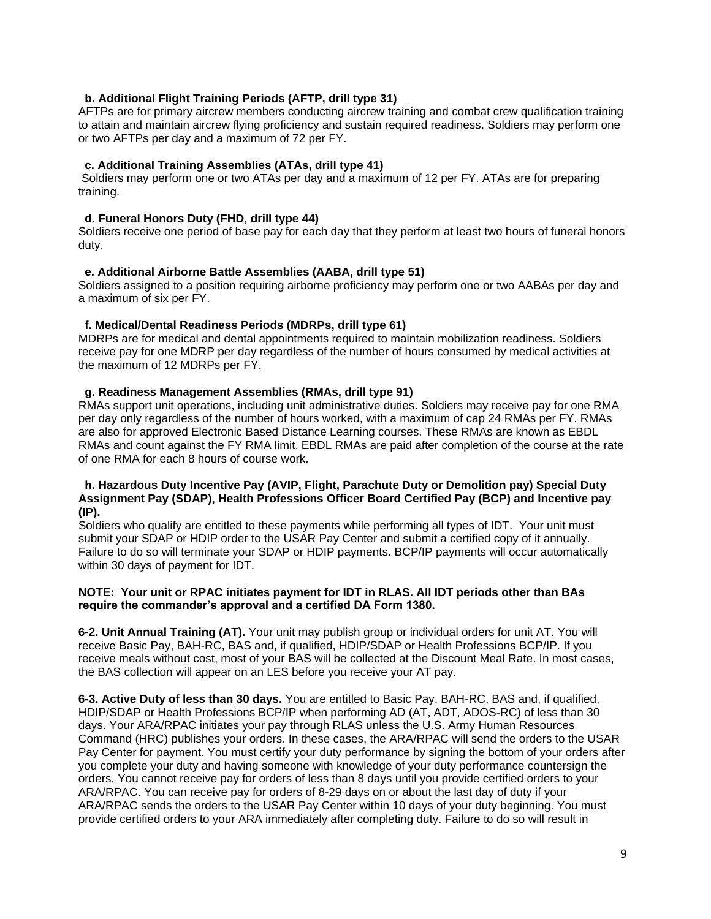# <span id="page-12-0"></span> **b. Additional Flight Training Periods (AFTP, drill type 31)**

AFTPs are for primary aircrew members conducting aircrew training and combat crew qualification training to attain and maintain aircrew flying proficiency and sustain required readiness. Soldiers may perform one or two AFTPs per day and a maximum of 72 per FY.

# **c. Additional Training Assemblies (ATAs, drill type 41)**

Soldiers may perform one or two ATAs per day and a maximum of 12 per FY. ATAs are for preparing training.

# **d. Funeral Honors Duty (FHD, drill type 44)**

Soldiers receive one period of base pay for each day that they perform at least two hours of funeral honors duty.

# **e. Additional Airborne Battle Assemblies (AABA, drill type 51)**

Soldiers assigned to a position requiring airborne proficiency may perform one or two AABAs per day and a maximum of six per FY.

# **f. Medical/Dental Readiness Periods (MDRPs, drill type 61)**

MDRPs are for medical and dental appointments required to maintain mobilization readiness. Soldiers receive pay for one MDRP per day regardless of the number of hours consumed by medical activities at the maximum of 12 MDRPs per FY.

# **g. Readiness Management Assemblies (RMAs, drill type 91)**

RMAs support unit operations, including unit administrative duties. Soldiers may receive pay for one RMA per day only regardless of the number of hours worked, with a maximum of cap 24 RMAs per FY. RMAs are also for approved Electronic Based Distance Learning courses. These RMAs are known as EBDL RMAs and count against the FY RMA limit. EBDL RMAs are paid after completion of the course at the rate of one RMA for each 8 hours of course work.

### **h. Hazardous Duty Incentive Pay (AVIP, Flight, Parachute Duty or Demolition pay) Special Duty Assignment Pay (SDAP), Health Professions Officer Board Certified Pay (BCP) and Incentive pay (IP).**

Soldiers who qualify are entitled to these payments while performing all types of IDT. Your unit must submit your SDAP or HDIP order to the USAR Pay Center and submit a certified copy of it annually. Failure to do so will terminate your SDAP or HDIP payments. BCP/IP payments will occur automatically within 30 days of payment for IDT.

### **NOTE: Your unit or RPAC initiates payment for IDT in RLAS. All IDT periods other than BAs require the commander's approval and a certified DA Form 1380.**

**6-2. Unit Annual Training (AT).** Your unit may publish group or individual orders for unit AT. You will receive Basic Pay, BAH-RC, BAS and, if qualified, HDIP/SDAP or Health Professions BCP/IP. If you receive meals without cost, most of your BAS will be collected at the Discount Meal Rate. In most cases, the BAS collection will appear on an LES before you receive your AT pay.

**6-3. Active Duty of less than 30 days.** You are entitled to Basic Pay, BAH-RC, BAS and, if qualified, HDIP/SDAP or Health Professions BCP/IP when performing AD (AT, ADT, ADOS-RC) of less than 30 days. Your ARA/RPAC initiates your pay through RLAS unless the U.S. Army Human Resources Command (HRC) publishes your orders. In these cases, the ARA/RPAC will send the orders to the USAR Pay Center for payment. You must certify your duty performance by signing the bottom of your orders after you complete your duty and having someone with knowledge of your duty performance countersign the orders. You cannot receive pay for orders of less than 8 days until you provide certified orders to your ARA/RPAC. You can receive pay for orders of 8-29 days on or about the last day of duty if your ARA/RPAC sends the orders to the USAR Pay Center within 10 days of your duty beginning. You must provide certified orders to your ARA immediately after completing duty. Failure to do so will result in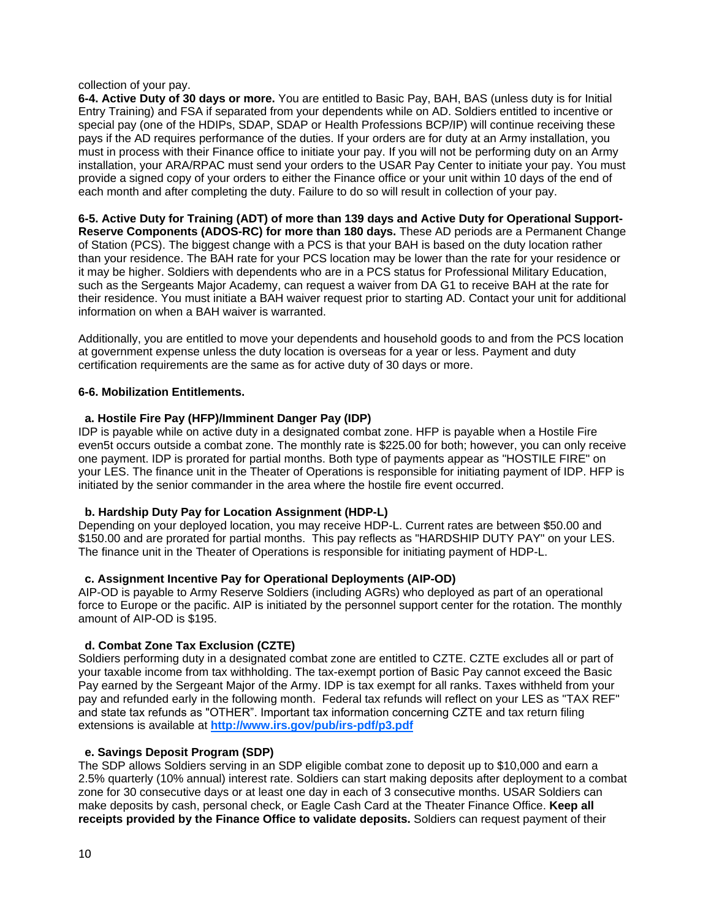### collection of your pay.

<span id="page-13-0"></span>**6-4. Active Duty of 30 days or more.** You are entitled to Basic Pay, BAH, BAS (unless duty is for Initial Entry Training) and FSA if separated from your dependents while on AD. Soldiers entitled to incentive or special pay (one of the HDIPs, SDAP, SDAP or Health Professions BCP/IP) will continue receiving these pays if the AD requires performance of the duties. If your orders are for duty at an Army installation, you must in process with their Finance office to initiate your pay. If you will not be performing duty on an Army installation, your ARA/RPAC must send your orders to the USAR Pay Center to initiate your pay. You must provide a signed copy of your orders to either the Finance office or your unit within 10 days of the end of each month and after completing the duty. Failure to do so will result in collection of your pay.

<span id="page-13-1"></span>**6-5. Active Duty for Training (ADT) of more than 139 days and Active Duty for Operational Support-Reserve Components (ADOS-RC) for more than 180 days.** These AD periods are a Permanent Change of Station (PCS). The biggest change with a PCS is that your BAH is based on the duty location rather than your residence. The BAH rate for your PCS location may be lower than the rate for your residence or it may be higher. Soldiers with dependents who are in a PCS status for Professional Military Education, such as the Sergeants Major Academy, can request a waiver from DA G1 to receive BAH at the rate for their residence. You must initiate a BAH waiver request prior to starting AD. Contact your unit for additional information on when a BAH waiver is warranted.

Additionally, you are entitled to move your dependents and household goods to and from the PCS location at government expense unless the duty location is overseas for a year or less. Payment and duty certification requirements are the same as for active duty of 30 days or more.

### **6-6. Mobilization Entitlements.**

# **a. Hostile Fire Pay (HFP)/Imminent Danger Pay (IDP)**

IDP is payable while on active duty in a designated combat zone. HFP is payable when a Hostile Fire even5t occurs outside a combat zone. The monthly rate is \$225.00 for both; however, you can only receive one payment. IDP is prorated for partial months. Both type of payments appear as "HOSTILE FIRE" on your LES. The finance unit in the Theater of Operations is responsible for initiating payment of IDP. HFP is initiated by the senior commander in the area where the hostile fire event occurred.

### **b. Hardship Duty Pay for Location Assignment (HDP-L)**

Depending on your deployed location, you may receive HDP-L. Current rates are between \$50.00 and \$150.00 and are prorated for partial months. This pay reflects as "HARDSHIP DUTY PAY" on your LES. The finance unit in the Theater of Operations is responsible for initiating payment of HDP-L.

### **c. Assignment Incentive Pay for Operational Deployments (AIP-OD)**

AIP-OD is payable to Army Reserve Soldiers (including AGRs) who deployed as part of an operational force to Europe or the pacific. AIP is initiated by the personnel support center for the rotation. The monthly amount of AIP-OD is \$195.

# **d. Combat Zone Tax Exclusion (CZTE)**

Soldiers performing duty in a designated combat zone are entitled to CZTE. CZTE excludes all or part of your taxable income from tax withholding. The tax-exempt portion of Basic Pay cannot exceed the Basic Pay earned by the Sergeant Major of the Army. IDP is tax exempt for all ranks. Taxes withheld from your pay and refunded early in the following month. Federal tax refunds will reflect on your LES as "TAX REF" and state tax refunds as "OTHER". Important tax information concerning CZTE and tax return filing extensions is available at **<http://www.irs.gov/pub/irs-pdf/p3.pdf>**

### **e. Savings Deposit Program (SDP)**

The SDP allows Soldiers serving in an SDP eligible combat zone to deposit up to \$10,000 and earn a 2.5% quarterly (10% annual) interest rate. Soldiers can start making deposits after deployment to a combat zone for 30 consecutive days or at least one day in each of 3 consecutive months. USAR Soldiers can make deposits by cash, personal check, or Eagle Cash Card at the Theater Finance Office. **Keep all receipts provided by the Finance Office to validate deposits.** Soldiers can request payment of their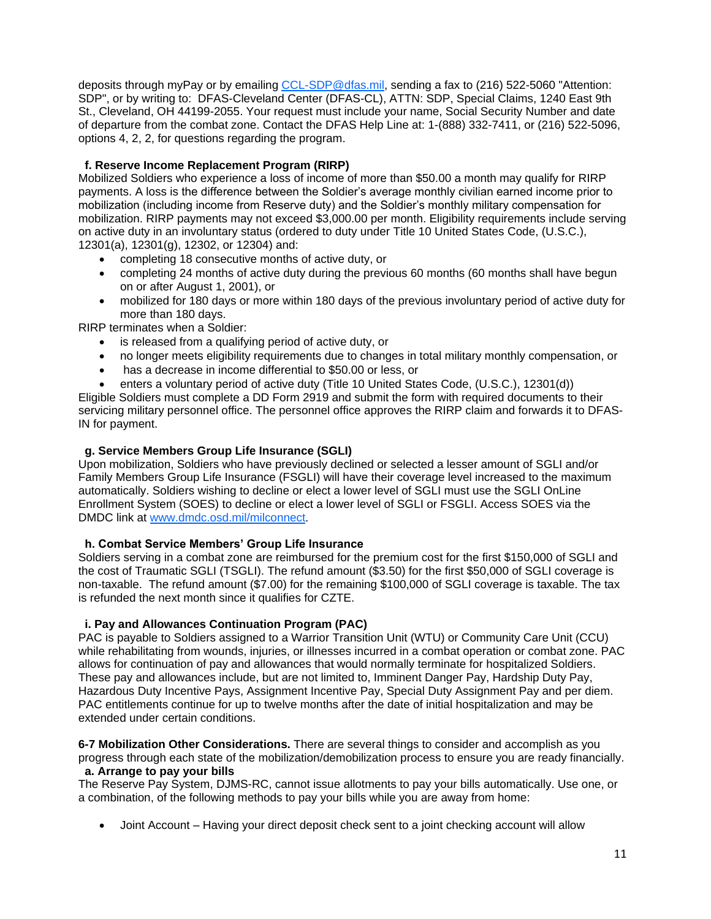deposits through myPay or by emailing [CCL-SDP@dfas.mil,](mailto:CCL-SDP@dfas.mil) sending a fax to (216) 522-5060 "Attention: SDP", or by writing to: DFAS-Cleveland Center (DFAS-CL), ATTN: SDP, Special Claims, 1240 East 9th St., Cleveland, OH 44199-2055. Your request must include your name, Social Security Number and date of departure from the combat zone. Contact the DFAS Help Line at: 1-(888) 332-7411, or (216) 522-5096, options 4, 2, 2, for questions regarding the program.

# <span id="page-14-0"></span> **f. Reserve Income Replacement Program (RIRP)**

Mobilized Soldiers who experience a loss of income of more than \$50.00 a month may qualify for RIRP payments. A loss is the difference between the Soldier's average monthly civilian earned income prior to mobilization (including income from Reserve duty) and the Soldier's monthly military compensation for mobilization. RIRP payments may not exceed \$3,000.00 per month. Eligibility requirements include serving on active duty in an involuntary status (ordered to duty under Title 10 United States Code, (U.S.C.), 12301(a), 12301(g), 12302, or 12304) and:

- completing 18 consecutive months of active duty, or
- completing 24 months of active duty during the previous 60 months (60 months shall have begun on or after August 1, 2001), or
- mobilized for 180 days or more within 180 days of the previous involuntary period of active duty for more than 180 days.

RIRP terminates when a Soldier:

- is released from a qualifying period of active duty, or
- no longer meets eligibility requirements due to changes in total military monthly compensation, or
- has a decrease in income differential to \$50.00 or less, or
- enters a voluntary period of active duty (Title 10 United States Code, (U.S.C.), 12301(d))

Eligible Soldiers must complete a DD Form 2919 and submit the form with required documents to their servicing military personnel office. The personnel office approves the RIRP claim and forwards it to DFAS-IN for payment.

# **g. Service Members Group Life Insurance (SGLI)**

Upon mobilization, Soldiers who have previously declined or selected a lesser amount of SGLI and/or Family Members Group Life Insurance (FSGLI) will have their coverage level increased to the maximum automatically. Soldiers wishing to decline or elect a lower level of SGLI must use the SGLI OnLine Enrollment System (SOES) to decline or elect a lower level of SGLI or FSGLI. Access SOES via the DMDC link at [www.dmdc.osd.mil/milconnect](http://www.dmdc.osd.mil/milconnect).

# **h. Combat Service Members' Group Life Insurance**

Soldiers serving in a combat zone are reimbursed for the premium cost for the first \$150,000 of SGLI and the cost of Traumatic SGLI (TSGLI). The refund amount (\$3.50) for the first \$50,000 of SGLI coverage is non-taxable. The refund amount (\$7.00) for the remaining \$100,000 of SGLI coverage is taxable. The tax is refunded the next month since it qualifies for CZTE.

# **i. Pay and Allowances Continuation Program (PAC)**

PAC is payable to Soldiers assigned to a Warrior Transition Unit (WTU) or Community Care Unit (CCU) while rehabilitating from wounds, injuries, or illnesses incurred in a combat operation or combat zone. PAC allows for continuation of pay and allowances that would normally terminate for hospitalized Soldiers. These pay and allowances include, but are not limited to, Imminent Danger Pay, Hardship Duty Pay, Hazardous Duty Incentive Pays, Assignment Incentive Pay, Special Duty Assignment Pay and per diem. PAC entitlements continue for up to twelve months after the date of initial hospitalization and may be extended under certain conditions.

**6-7 Mobilization Other Considerations.** There are several things to consider and accomplish as you progress through each state of the mobilization/demobilization process to ensure you are ready financially.  **a. Arrange to pay your bills** 

The Reserve Pay System, DJMS-RC, cannot issue allotments to pay your bills automatically. Use one, or a combination, of the following methods to pay your bills while you are away from home:

• Joint Account – Having your direct deposit check sent to a joint checking account will allow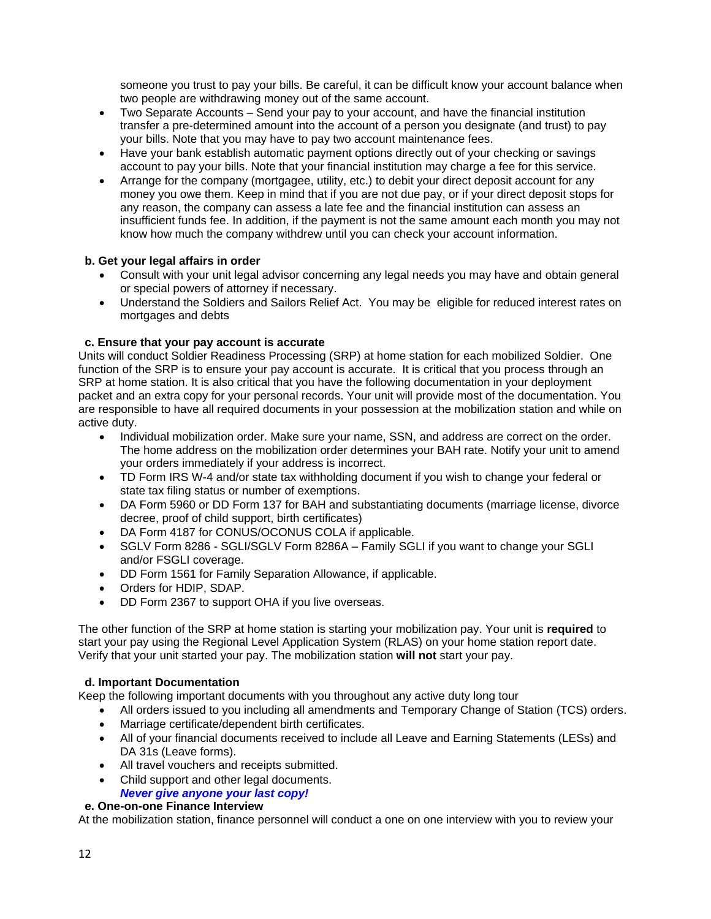someone you trust to pay your bills. Be careful, it can be difficult know your account balance when two people are withdrawing money out of the same account.

- Two Separate Accounts Send your pay to your account, and have the financial institution transfer a pre-determined amount into the account of a person you designate (and trust) to pay your bills. Note that you may have to pay two account maintenance fees.
- Have your bank establish automatic payment options directly out of your checking or savings account to pay your bills. Note that your financial institution may charge a fee for this service.
- Arrange for the company (mortgagee, utility, etc.) to debit your direct deposit account for any money you owe them. Keep in mind that if you are not due pay, or if your direct deposit stops for any reason, the company can assess a late fee and the financial institution can assess an insufficient funds fee. In addition, if the payment is not the same amount each month you may not know how much the company withdrew until you can check your account information.

# <span id="page-15-0"></span> **b. Get your legal affairs in order**

- Consult with your unit legal advisor concerning any legal needs you may have and obtain general or special powers of attorney if necessary.
- Understand the Soldiers and Sailors Relief Act. You may be eligible for reduced interest rates on mortgages and debts

# **c. Ensure that your pay account is accurate**

Units will conduct Soldier Readiness Processing (SRP) at home station for each mobilized Soldier. One function of the SRP is to ensure your pay account is accurate. It is critical that you process through an SRP at home station. It is also critical that you have the following documentation in your deployment packet and an extra copy for your personal records. Your unit will provide most of the documentation. You are responsible to have all required documents in your possession at the mobilization station and while on active duty.

- Individual mobilization order. Make sure your name, SSN, and address are correct on the order. The home address on the mobilization order determines your BAH rate. Notify your unit to amend your orders immediately if your address is incorrect.
- TD Form IRS W-4 and/or state tax withholding document if you wish to change your federal or state tax filing status or number of exemptions.
- DA Form 5960 or DD Form 137 for BAH and substantiating documents (marriage license, divorce decree, proof of child support, birth certificates)
- DA Form 4187 for CONUS/OCONUS COLA if applicable.
- SGLV Form 8286 SGLI/SGLV Form 8286A Family SGLI if you want to change your SGLI and/or FSGLI coverage.
- DD Form 1561 for Family Separation Allowance, if applicable.
- Orders for HDIP, SDAP.
- DD Form 2367 to support OHA if you live overseas.

The other function of the SRP at home station is starting your mobilization pay. Your unit is **required** to start your pay using the Regional Level Application System (RLAS) on your home station report date. Verify that your unit started your pay. The mobilization station **will not** start your pay.

### **d. Important Documentation**

Keep the following important documents with you throughout any active duty long tour

- All orders issued to you including all amendments and Temporary Change of Station (TCS) orders.
- Marriage certificate/dependent birth certificates.
- All of your financial documents received to include all Leave and Earning Statements (LESs) and DA 31s (Leave forms).
- All travel vouchers and receipts submitted.
- Child support and other legal documents.

*Never give anyone your last copy!*

### **e. One-on-one Finance Interview**

At the mobilization station, finance personnel will conduct a one on one interview with you to review your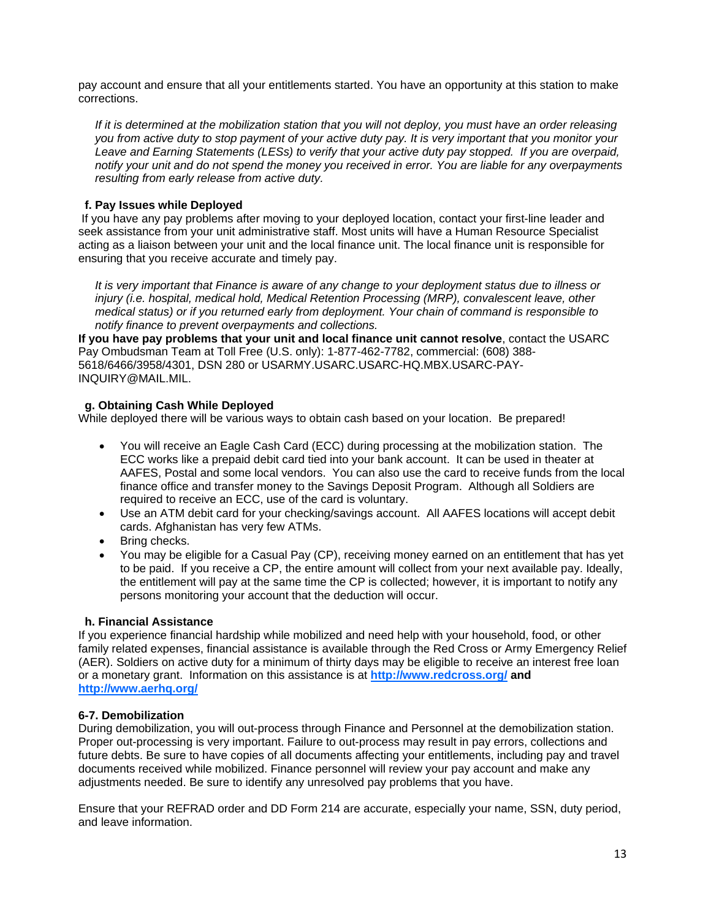pay account and ensure that all your entitlements started. You have an opportunity at this station to make corrections.

*If it is determined at the mobilization station that you will not deploy, you must have an order releasing you from active duty to stop payment of your active duty pay. It is very important that you monitor your Leave and Earning Statements (LESs) to verify that your active duty pay stopped. If you are overpaid, notify your unit and do not spend the money you received in error. You are liable for any overpayments resulting from early release from active duty.*

# <span id="page-16-0"></span> **f. Pay Issues while Deployed**

If you have any pay problems after moving to your deployed location, contact your first-line leader and seek assistance from your unit administrative staff. Most units will have a Human Resource Specialist acting as a liaison between your unit and the local finance unit. The local finance unit is responsible for ensuring that you receive accurate and timely pay.

*It is very important that Finance is aware of any change to your deployment status due to illness or injury (i.e. hospital, medical hold, Medical Retention Processing (MRP), convalescent leave, other medical status) or if you returned early from deployment. Your chain of command is responsible to notify finance to prevent overpayments and collections.*

**If you have pay problems that your unit and local finance unit cannot resolve**, contact the USARC Pay Ombudsman Team at Toll Free (U.S. only): 1-877-462-7782, commercial: (608) 388- 5618/6466/3958/4301, DSN 280 or USARMY.USARC.USARC-HQ.MBX.USARC-PAY-INQUIRY@MAIL.MIL.

# **g. Obtaining Cash While Deployed**

While deployed there will be various ways to obtain cash based on your location. Be prepared!

- You will receive an Eagle Cash Card (ECC) during processing at the mobilization station. The ECC works like a prepaid debit card tied into your bank account. It can be used in theater at AAFES, Postal and some local vendors. You can also use the card to receive funds from the local finance office and transfer money to the Savings Deposit Program. Although all Soldiers are required to receive an ECC, use of the card is voluntary.
- Use an ATM debit card for your checking/savings account. All AAFES locations will accept debit cards. Afghanistan has very few ATMs.
- Bring checks.
- You may be eligible for a Casual Pay (CP), receiving money earned on an entitlement that has yet to be paid. If you receive a CP, the entire amount will collect from your next available pay. Ideally, the entitlement will pay at the same time the CP is collected; however, it is important to notify any persons monitoring your account that the deduction will occur.

# **h. Financial Assistance**

If you experience financial hardship while mobilized and need help with your household, food, or other family related expenses, financial assistance is available through the Red Cross or Army Emergency Relief (AER). Soldiers on active duty for a minimum of thirty days may be eligible to receive an interest free loan or a monetary grant. Information on this assistance is at **<http://www.redcross.org/> and <http://www.aerhq.org/>**

# **6-7. Demobilization**

During demobilization, you will out-process through Finance and Personnel at the demobilization station. Proper out-processing is very important. Failure to out-process may result in pay errors, collections and future debts. Be sure to have copies of all documents affecting your entitlements, including pay and travel documents received while mobilized. Finance personnel will review your pay account and make any adjustments needed. Be sure to identify any unresolved pay problems that you have.

Ensure that your REFRAD order and DD Form 214 are accurate, especially your name, SSN, duty period, and leave information.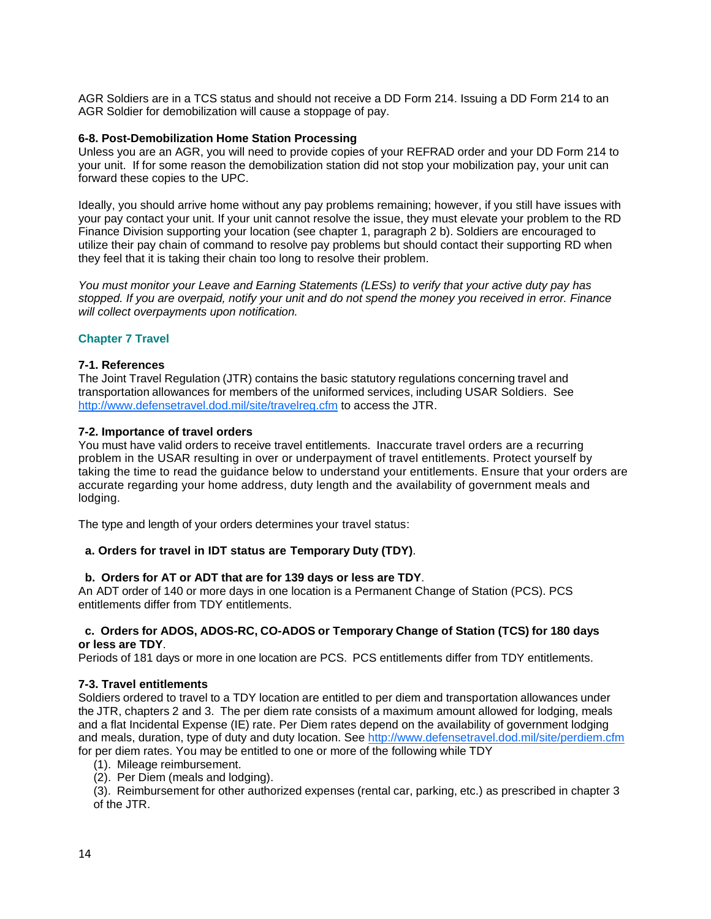AGR Soldiers are in a TCS status and should not receive a DD Form 214. Issuing a DD Form 214 to an AGR Soldier for demobilization will cause a stoppage of pay.

#### <span id="page-17-0"></span>**6-8. Post-Demobilization Home Station Processing**

Unless you are an AGR, you will need to provide copies of your REFRAD order and your DD Form 214 to your unit. If for some reason the demobilization station did not stop your mobilization pay, your unit can forward these copies to the UPC.

Ideally, you should arrive home without any pay problems remaining; however, if you still have issues with your pay contact your unit. If your unit cannot resolve the issue, they must elevate your problem to the RD Finance Division supporting your location (see chapter 1, paragraph 2 b). Soldiers are encouraged to utilize their pay chain of command to resolve pay problems but should contact their supporting RD when they feel that it is taking their chain too long to resolve their problem.

*You must monitor your Leave and Earning Statements (LESs) to verify that your active duty pay has stopped. If you are overpaid, notify your unit and do not spend the money you received in error. Finance will collect overpayments upon notification.*

# <span id="page-17-1"></span>**Chapter 7 Travel**

### **7-1. References**

The Joint Travel Regulation (JTR) contains the basic statutory regulations concerning travel and transportation allowances for members of the uniformed services, including USAR Soldiers. See <http://www.defensetravel.dod.mil/site/travelreg.cfm> to access the JTR.

### **7-2. Importance of travel orders**

You must have valid orders to receive travel entitlements. Inaccurate travel orders are a recurring problem in the USAR resulting in over or underpayment of travel entitlements. Protect yourself by taking the time to read the guidance below to understand your entitlements. Ensure that your orders are accurate regarding your home address, duty length and the availability of government meals and lodging.

The type and length of your orders determines your travel status:

### **a. Orders for travel in IDT status are Temporary Duty (TDY)**.

### **b. Orders for AT or ADT that are for 139 days or less are TDY**.

An ADT order of 140 or more days in one location is a Permanent Change of Station (PCS). PCS entitlements differ from TDY entitlements.

### **c. Orders for ADOS, ADOS-RC, CO-ADOS or Temporary Change of Station (TCS) for 180 days or less are TDY**.

Periods of 181 days or more in one location are PCS. PCS entitlements differ from TDY entitlements.

### **7-3. Travel entitlements**

Soldiers ordered to travel to a TDY location are entitled to per diem and transportation allowances under the JTR, chapters 2 and 3. The per diem rate consists of a maximum amount allowed for lodging, meals and a flat Incidental Expense (IE) rate. Per Diem rates depend on the availability of government lodging and meals, duration, type of duty and duty location. See<http://www.defensetravel.dod.mil/site/perdiem.cfm> for per diem rates. You may be entitled to one or more of the following while TDY

- (1). Mileage reimbursement.
- (2). Per Diem (meals and lodging).

(3). Reimbursement for other authorized expenses (rental car, parking, etc.) as prescribed in chapter 3 of the JTR.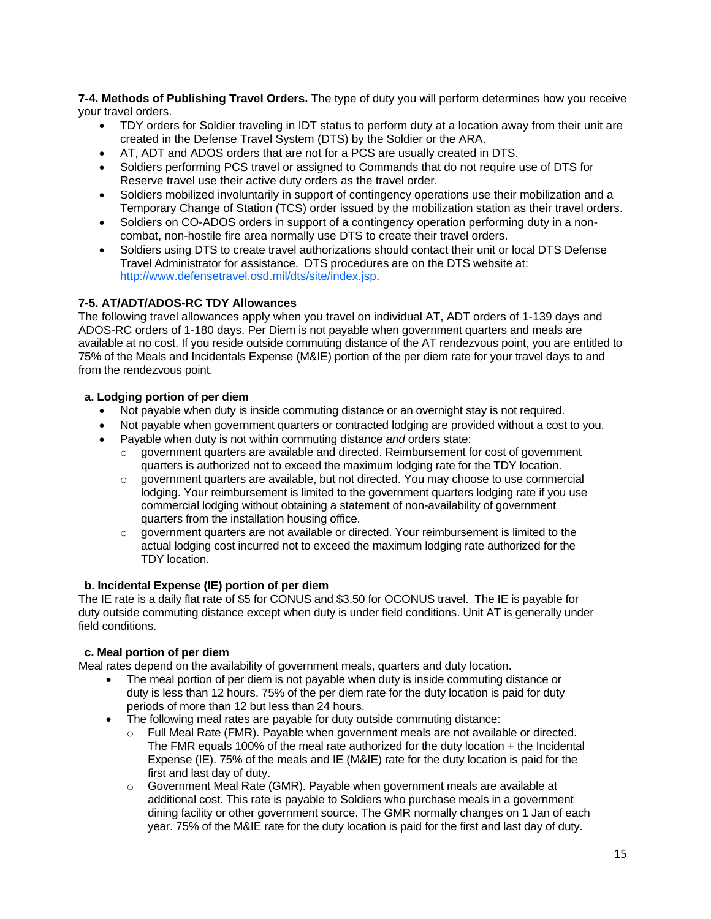**7-4. Methods of Publishing Travel Orders.** The type of duty you will perform determines how you receive your travel orders.

- TDY orders for Soldier traveling in IDT status to perform duty at a location away from their unit are created in the Defense Travel System (DTS) by the Soldier or the ARA.
- AT, ADT and ADOS orders that are not for a PCS are usually created in DTS.
- Soldiers performing PCS travel or assigned to Commands that do not require use of DTS for Reserve travel use their active duty orders as the travel order.
- Soldiers mobilized involuntarily in support of contingency operations use their mobilization and a Temporary Change of Station (TCS) order issued by the mobilization station as their travel orders.
- Soldiers on CO-ADOS orders in support of a contingency operation performing duty in a noncombat, non-hostile fire area normally use DTS to create their travel orders.
- Soldiers using DTS to create travel authorizations should contact their unit or local DTS Defense Travel Administrator for assistance. DTS procedures are on the DTS website at: [http://www.defensetravel.osd.mil/dts/site/index.jsp.](http://www.defensetravel.osd.mil/dts/site/index.jsp)

# **7-5. AT/ADT/ADOS-RC TDY Allowances**

The following travel allowances apply when you travel on individual AT, ADT orders of 1-139 days and ADOS-RC orders of 1-180 days. Per Diem is not payable when government quarters and meals are available at no cost. If you reside outside commuting distance of the AT rendezvous point, you are entitled to 75% of the Meals and Incidentals Expense (M&IE) portion of the per diem rate for your travel days to and from the rendezvous point.

### **a. Lodging portion of per diem**

- Not payable when duty is inside commuting distance or an overnight stay is not required.
- Not payable when government quarters or contracted lodging are provided without a cost to you.
- Payable when duty is not within commuting distance *and* orders state:
	- $\circ$  government quarters are available and directed. Reimbursement for cost of government quarters is authorized not to exceed the maximum lodging rate for the TDY location.
	- o government quarters are available, but not directed. You may choose to use commercial lodging. Your reimbursement is limited to the government quarters lodging rate if you use commercial lodging without obtaining a statement of non-availability of government quarters from the installation housing office.
	- $\circ$  government quarters are not available or directed. Your reimbursement is limited to the actual lodging cost incurred not to exceed the maximum lodging rate authorized for the TDY location.

### **b. Incidental Expense (IE) portion of per diem**

The IE rate is a daily flat rate of \$5 for CONUS and \$3.50 for OCONUS travel. The IE is payable for duty outside commuting distance except when duty is under field conditions. Unit AT is generally under field conditions.

# **c. Meal portion of per diem**

Meal rates depend on the availability of government meals, quarters and duty location.

- The meal portion of per diem is not payable when duty is inside commuting distance or duty is less than 12 hours. 75% of the per diem rate for the duty location is paid for duty periods of more than 12 but less than 24 hours.
- The following meal rates are payable for duty outside commuting distance:
	- o Full Meal Rate (FMR). Payable when government meals are not available or directed. The FMR equals 100% of the meal rate authorized for the duty location + the Incidental Expense (IE). 75% of the meals and IE (M&IE) rate for the duty location is paid for the first and last day of duty.
	- $\circ$  Government Meal Rate (GMR). Payable when government meals are available at additional cost. This rate is payable to Soldiers who purchase meals in a government dining facility or other government source. The GMR normally changes on 1 Jan of each year. 75% of the M&IE rate for the duty location is paid for the first and last day of duty.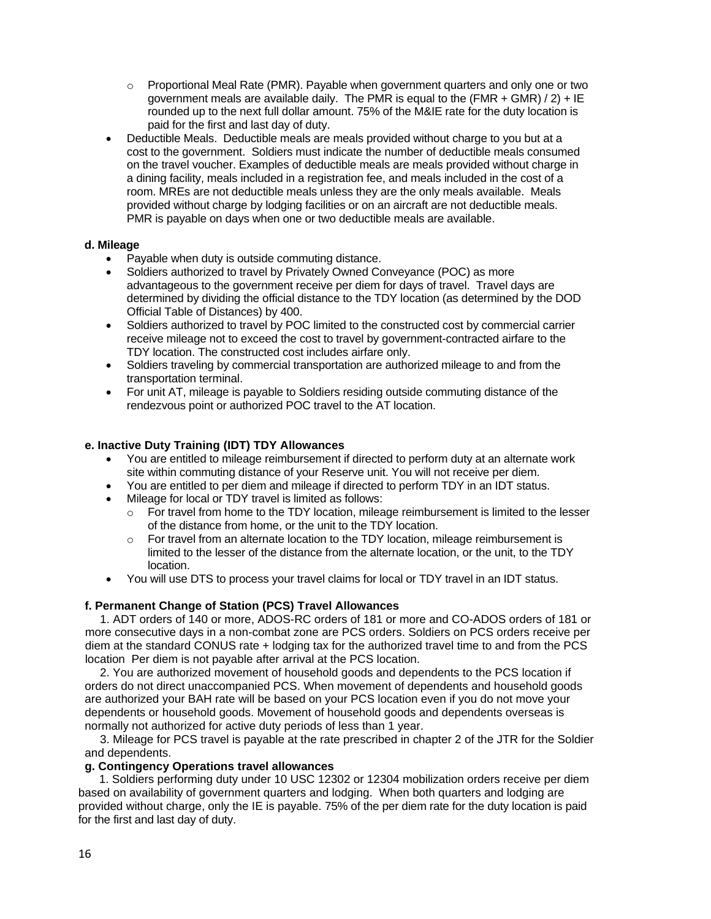- $\circ$  Proportional Meal Rate (PMR). Payable when government quarters and only one or two government meals are available daily. The PMR is equal to the  $(FMR + GMR) / 2$  + IE rounded up to the next full dollar amount. 75% of the M&IE rate for the duty location is paid for the first and last day of duty.
- Deductible Meals. Deductible meals are meals provided without charge to you but at a cost to the government. Soldiers must indicate the number of deductible meals consumed on the travel voucher. Examples of deductible meals are meals provided without charge in a dining facility, meals included in a registration fee, and meals included in the cost of a room. MREs are not deductible meals unless they are the only meals available. Meals provided without charge by lodging facilities or on an aircraft are not deductible meals. PMR is payable on days when one or two deductible meals are available.

# <span id="page-19-0"></span> **d. Mileage**

- Payable when duty is outside commuting distance.
- Soldiers authorized to travel by Privately Owned Conveyance (POC) as more advantageous to the government receive per diem for days of travel. Travel days are determined by dividing the official distance to the TDY location (as determined by the DOD Official Table of Distances) by 400.
- Soldiers authorized to travel by POC limited to the constructed cost by commercial carrier receive mileage not to exceed the cost to travel by government-contracted airfare to the TDY location. The constructed cost includes airfare only.
- Soldiers traveling by commercial transportation are authorized mileage to and from the transportation terminal.
- For unit AT, mileage is payable to Soldiers residing outside commuting distance of the rendezvous point or authorized POC travel to the AT location.

# **e. Inactive Duty Training (IDT) TDY Allowances**

- You are entitled to mileage reimbursement if directed to perform duty at an alternate work site within commuting distance of your Reserve unit. You will not receive per diem.
- You are entitled to per diem and mileage if directed to perform TDY in an IDT status.
- Mileage for local or TDY travel is limited as follows:
	- $\circ$  For travel from home to the TDY location, mileage reimbursement is limited to the lesser of the distance from home, or the unit to the TDY location.
	- $\circ$  For travel from an alternate location to the TDY location, mileage reimbursement is limited to the lesser of the distance from the alternate location, or the unit, to the TDY location.
- You will use DTS to process your travel claims for local or TDY travel in an IDT status.

# **f. Permanent Change of Station (PCS) Travel Allowances**

1. ADT orders of 140 or more, ADOS-RC orders of 181 or more and CO-ADOS orders of 181 or more consecutive days in a non-combat zone are PCS orders. Soldiers on PCS orders receive per diem at the standard CONUS rate + lodging tax for the authorized travel time to and from the PCS location Per diem is not payable after arrival at the PCS location.

2. You are authorized movement of household goods and dependents to the PCS location if orders do not direct unaccompanied PCS. When movement of dependents and household goods are authorized your BAH rate will be based on your PCS location even if you do not move your dependents or household goods. Movement of household goods and dependents overseas is normally not authorized for active duty periods of less than 1 year.

3. Mileage for PCS travel is payable at the rate prescribed in chapter 2 of the JTR for the Soldier and dependents.

# **g. Contingency Operations travel allowances**

1. Soldiers performing duty under 10 USC 12302 or 12304 mobilization orders receive per diem based on availability of government quarters and lodging. When both quarters and lodging are provided without charge, only the IE is payable. 75% of the per diem rate for the duty location is paid for the first and last day of duty.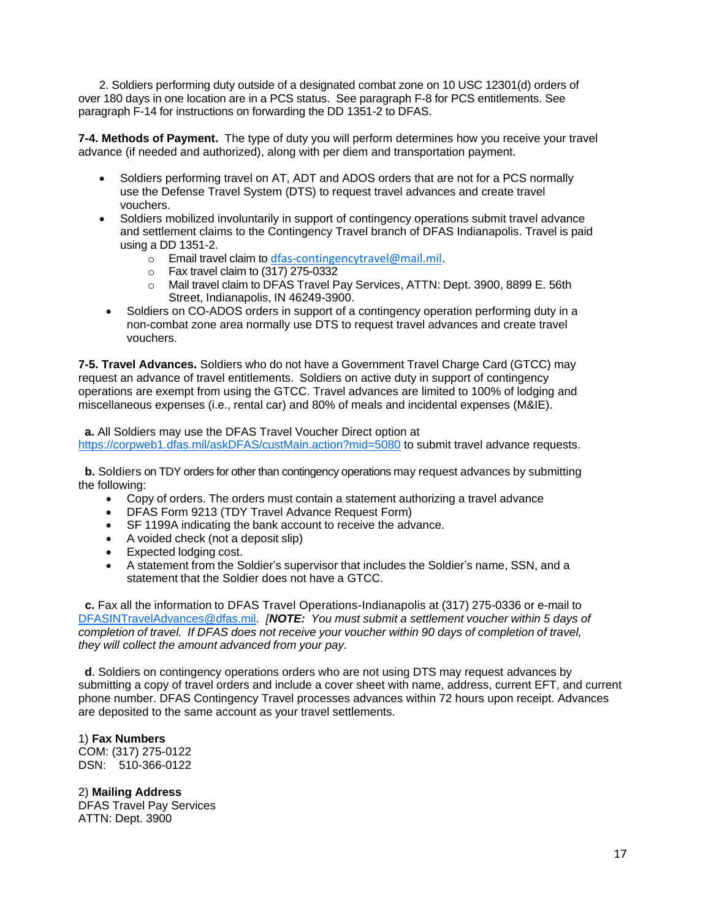2. Soldiers performing duty outside of a designated combat zone on 10 USC 12301(d) orders of over 180 days in one location are in a PCS status. See paragraph F-8 for PCS entitlements. See paragraph F-14 for instructions on forwarding the DD 1351-2 to DFAS.

<span id="page-20-0"></span>**7-4. Methods of Payment.** The type of duty you will perform determines how you receive your travel advance (if needed and authorized), along with per diem and transportation payment.

- Soldiers performing travel on AT, ADT and ADOS orders that are not for a PCS normally use the Defense Travel System (DTS) to request travel advances and create travel vouchers.
- Soldiers mobilized involuntarily in support of contingency operations submit travel advance and settlement claims to the Contingency Travel branch of DFAS Indianapolis. Travel is paid using a DD 1351-2.
	- $\circ$  Email travel claim to [dfas-contingencytravel@mail.mil](mailto:dfas-contingencytravel@mail.mil).
	- $\circ$  Fax travel claim to (317) 275-0332
	- o Mail travel claim to DFAS Travel Pay Services, ATTN: Dept. 3900, 8899 E. 56th Street, Indianapolis, IN 46249-3900.
- Soldiers on CO-ADOS orders in support of a contingency operation performing duty in a non-combat zone area normally use DTS to request travel advances and create travel vouchers.

<span id="page-20-1"></span>**7-5. Travel Advances.** Soldiers who do not have a Government Travel Charge Card (GTCC) may request an advance of travel entitlements. Soldiers on active duty in support of contingency operations are exempt from using the GTCC. Travel advances are limited to 100% of lodging and miscellaneous expenses (i.e., rental car) and 80% of meals and incidental expenses (M&IE).

 **a.** All Soldiers may use the DFAS Travel Voucher Direct option at [https://corpweb1.dfas.mil/askDFAS/custMain.action?mid=5080](https://corpweb1.dfas.mil/askDFAS/custMain.action?mid=5080%20) to submit travel advance requests.

**b.** Soldiers on TDY orders for other than contingency operations may request advances by submitting the following:

- Copy of orders. The orders must contain a statement authorizing a travel advance
- DFAS Form 9213 (TDY Travel Advance Request Form)
- SF 1199A indicating the bank account to receive the advance.
- A voided check (not a deposit slip)
- Expected lodging cost.
- A statement from the Soldier's supervisor that includes the Soldier's name, SSN, and a statement that the Soldier does not have a GTCC.

 **c.** Fax all the information to DFAS Travel Operations-Indianapolis at (317) 275-0336 or e-mail to [DFASINTravelAdvances@dfas.mil.](mailto:DFASINTravelAdvances@dfas.mil) *[NOTE: You must submit a settlement voucher within 5 days of completion of travel. If DFAS does not receive your voucher within 90 days of completion of travel, they will collect the amount advanced from your pay.*

 **d**. Soldiers on contingency operations orders who are not using DTS may request advances by submitting a copy of travel orders and include a cover sheet with name, address, current EFT, and current phone number. DFAS Contingency Travel processes advances within 72 hours upon receipt. Advances are deposited to the same account as your travel settlements.

# 1) **Fax Numbers**

COM: (317) 275-0122 DSN: 510-366-0122

2) **Mailing Address** DFAS Travel Pay Services ATTN: Dept. 3900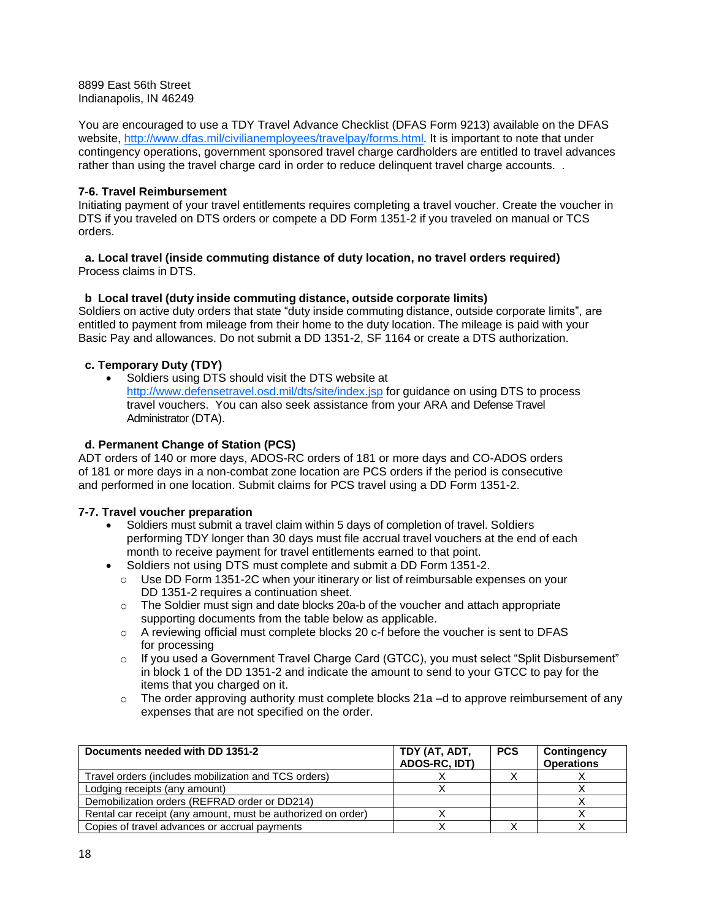8899 East 56th Street Indianapolis, IN 46249

You are encouraged to use a TDY Travel Advance Checklist (DFAS Form 9213) available on the DFAS website, [http://www.dfas.mil/civilianemployees/travelpay/forms.html.](http://www.dfas.mil/civilianemployees/travelpay/forms.html) It is important to note that under contingency operations, government sponsored travel charge cardholders are entitled to travel advances rather than using the travel charge card in order to reduce delinquent travel charge accounts. .

# <span id="page-21-0"></span>**7-6. Travel Reimbursement**

Initiating payment of your travel entitlements requires completing a travel voucher. Create the voucher in DTS if you traveled on DTS orders or compete a DD Form 1351-2 if you traveled on manual or TCS orders.

### **a. Local travel (inside commuting distance of duty location, no travel orders required)** Process claims in DTS.

# **b Local travel (duty inside commuting distance, outside corporate limits)**

Soldiers on active duty orders that state "duty inside commuting distance, outside corporate limits", are entitled to payment from mileage from their home to the duty location. The mileage is paid with your Basic Pay and allowances. Do not submit a DD 1351-2, SF 1164 or create a DTS authorization.

# **c. Temporary Duty (TDY)**

 Soldiers using DTS should visit the DTS website at <http://www.defensetravel.osd.mil/dts/site/index.jsp> for guidance on using DTS to process travel vouchers. You can also seek assistance from your ARA and Defense Travel Administrator (DTA).

### **d. Permanent Change of Station (PCS)**

ADT orders of 140 or more days, ADOS-RC orders of 181 or more days and CO-ADOS orders of 181 or more days in a non-combat zone location are PCS orders if the period is consecutive and performed in one location. Submit claims for PCS travel using a DD Form 1351-2.

### **7-7. Travel voucher preparation**

- Soldiers must submit a travel claim within 5 days of completion of travel. Soldiers performing TDY longer than 30 days must file accrual travel vouchers at the end of each month to receive payment for travel entitlements earned to that point.
- Soldiers not using DTS must complete and submit a DD Form 1351-2.
	- o Use DD Form 1351-2C when your itinerary or list of reimbursable expenses on your DD 1351-2 requires a continuation sheet.
	- $\circ$  The Soldier must sign and date blocks 20a-b of the voucher and attach appropriate supporting documents from the table below as applicable.
	- o A reviewing official must complete blocks 20 c-f before the voucher is sent to DFAS for processing
	- $\circ$  If you used a Government Travel Charge Card (GTCC), you must select "Split Disbursement" in block 1 of the DD 1351-2 and indicate the amount to send to your GTCC to pay for the items that you charged on it.
	- $\circ$  The order approving authority must complete blocks 21a –d to approve reimbursement of any expenses that are not specified on the order.

| Documents needed with DD 1351-2                              | TDY (AT, ADT,<br>ADOS-RC, IDT) | <b>PCS</b> | Contingency<br><b>Operations</b> |
|--------------------------------------------------------------|--------------------------------|------------|----------------------------------|
| Travel orders (includes mobilization and TCS orders)         |                                |            |                                  |
| Lodging receipts (any amount)                                |                                |            |                                  |
| Demobilization orders (REFRAD order or DD214)                |                                |            |                                  |
| Rental car receipt (any amount, must be authorized on order) |                                |            |                                  |
| Copies of travel advances or accrual payments                |                                |            |                                  |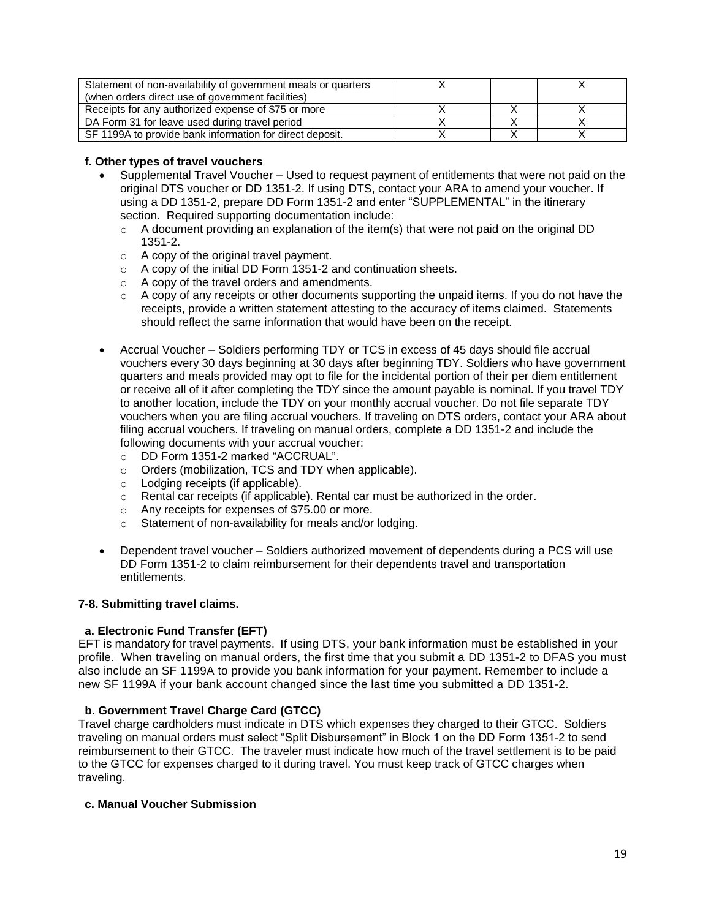| Statement of non-availability of government meals or quarters |  |  |
|---------------------------------------------------------------|--|--|
| (when orders direct use of government facilities)             |  |  |
| Receipts for any authorized expense of \$75 or more           |  |  |
| DA Form 31 for leave used during travel period                |  |  |
| SF 1199A to provide bank information for direct deposit.      |  |  |

# <span id="page-22-0"></span> **f. Other types of travel vouchers**

- Supplemental Travel Voucher Used to request payment of entitlements that were not paid on the original DTS voucher or DD 1351-2. If using DTS, contact your ARA to amend your voucher. If using a DD 1351-2, prepare DD Form 1351-2 and enter "SUPPLEMENTAL" in the itinerary section. Required supporting documentation include:
	- $\circ$  A document providing an explanation of the item(s) that were not paid on the original DD 1351-2.
	- o A copy of the original travel payment.
	- $\circ$  A copy of the initial DD Form 1351-2 and continuation sheets.
	- o A copy of the travel orders and amendments.
	- $\circ$  A copy of any receipts or other documents supporting the unpaid items. If you do not have the receipts, provide a written statement attesting to the accuracy of items claimed. Statements should reflect the same information that would have been on the receipt.
- Accrual Voucher Soldiers performing TDY or TCS in excess of 45 days should file accrual vouchers every 30 days beginning at 30 days after beginning TDY. Soldiers who have government quarters and meals provided may opt to file for the incidental portion of their per diem entitlement or receive all of it after completing the TDY since the amount payable is nominal. If you travel TDY to another location, include the TDY on your monthly accrual voucher. Do not file separate TDY vouchers when you are filing accrual vouchers. If traveling on DTS orders, contact your ARA about filing accrual vouchers. If traveling on manual orders, complete a DD 1351-2 and include the following documents with your accrual voucher:
	- o DD Form 1351-2 marked "ACCRUAL".
	- o Orders (mobilization, TCS and TDY when applicable).
	- o Lodging receipts (if applicable).
	- $\circ$  Rental car receipts (if applicable). Rental car must be authorized in the order.
	- o Any receipts for expenses of \$75.00 or more.
	- o Statement of non-availability for meals and/or lodging.
- Dependent travel voucher Soldiers authorized movement of dependents during a PCS will use DD Form 1351-2 to claim reimbursement for their dependents travel and transportation entitlements.

### <span id="page-22-1"></span>**7-8. Submitting travel claims.**

### **a. Electronic Fund Transfer (EFT)**

EFT is mandatory for travel payments. If using DTS, your bank information must be established in your profile. When traveling on manual orders, the first time that you submit a DD 1351-2 to DFAS you must also include an SF 1199A to provide you bank information for your payment. Remember to include a new SF 1199A if your bank account changed since the last time you submitted a DD 1351-2.

# **b. Government Travel Charge Card (GTCC)**

Travel charge cardholders must indicate in DTS which expenses they charged to their GTCC. Soldiers traveling on manual orders must select "Split Disbursement" in Block 1 on the DD Form 1351-2 to send reimbursement to their GTCC. The traveler must indicate how much of the travel settlement is to be paid to the GTCC for expenses charged to it during travel. You must keep track of GTCC charges when traveling.

# <span id="page-22-2"></span> **c. Manual Voucher Submission**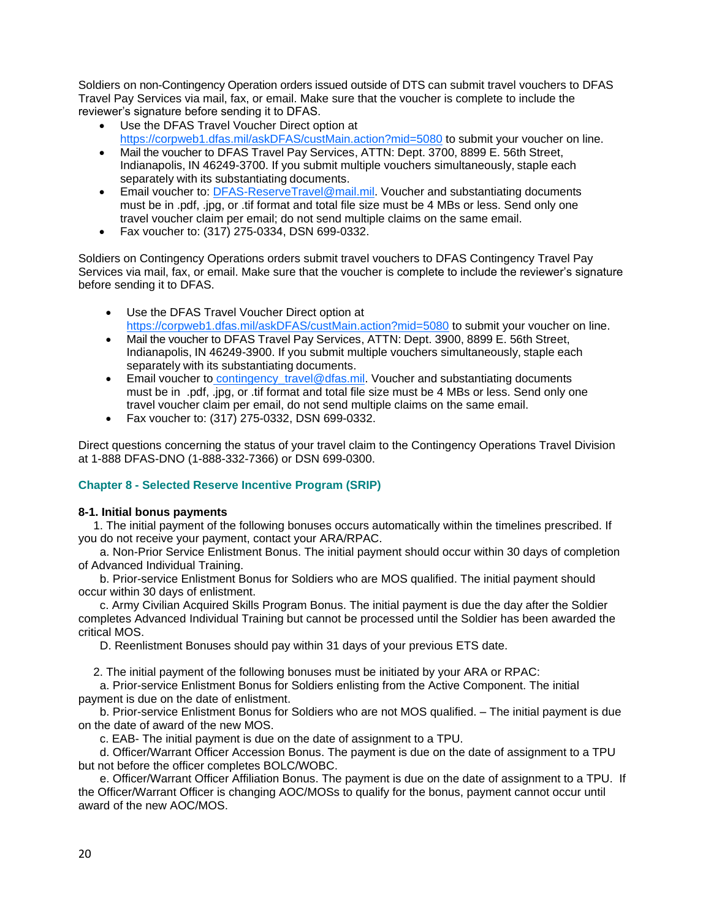Soldiers on non-Contingency Operation orders issued outside of DTS can submit travel vouchers to DFAS Travel Pay Services via mail, fax, or email. Make sure that the voucher is complete to include the reviewer's signature before sending it to DFAS.

- Use the DFAS Travel Voucher Direct option at [https://corpweb1.dfas.mil/askDFAS/custMain.action?mid=5080](https://corpweb1.dfas.mil/askDFAS/custMain.action?mid=5080%20) to submit your voucher on line.
- Mail the voucher to DFAS Travel Pay Services, ATTN: Dept. 3700, 8899 E. 56th Street, Indianapolis, IN 46249-3700. If you submit multiple vouchers simultaneously, staple each separately with its substantiating documents.
- **Email voucher to: [DFAS-ReserveTravel@mail.mil.](mailto:dfas-reservetravel@mail.mil) Voucher and substantiating documents** must be in .pdf, .jpg, or .tif format and total file size must be 4 MBs or less. Send only one travel voucher claim per email; do not send multiple claims on the same email.
- Fax voucher to: (317) 275-0334, DSN 699-0332.

Soldiers on Contingency Operations orders submit travel vouchers to DFAS Contingency Travel Pay Services via mail, fax, or email. Make sure that the voucher is complete to include the reviewer's signature before sending it to DFAS.

- Use the DFAS Travel Voucher Direct option at [https://corpweb1.dfas.mil/askDFAS/custMain.action?mid=5080](https://corpweb1.dfas.mil/askDFAS/custMain.action?mid=5080%20) to submit your voucher on line.
- Mail the voucher to DFAS Travel Pay Services, ATTN: Dept. 3900, 8899 E. 56th Street, Indianapolis, IN 46249-3900. If you submit multiple vouchers simultaneously, staple each separately with its substantiating documents.
- Email voucher to contingency travel@dfas.mil. Voucher and substantiating documents must be in .pdf, .jpg, or .tif format and total file size must be 4 MBs or less. Send only one travel voucher claim per email, do not send multiple claims on the same email.
- Fax voucher to: (317) 275-0332, DSN 699-0332.

Direct questions concerning the status of your travel claim to the Contingency Operations Travel Division at 1-888 DFAS-DNO (1-888-332-7366) or DSN 699-0300.

# **Chapter 8 - Selected Reserve Incentive Program (SRIP)**

### <span id="page-23-0"></span>**8-1. Initial bonus payments**

1. The initial payment of the following bonuses occurs automatically within the timelines prescribed. If you do not receive your payment, contact your ARA/RPAC.

 a. Non-Prior Service Enlistment Bonus. The initial payment should occur within 30 days of completion of Advanced Individual Training.

 b. Prior-service Enlistment Bonus for Soldiers who are MOS qualified. The initial payment should occur within 30 days of enlistment.

 c. Army Civilian Acquired Skills Program Bonus. The initial payment is due the day after the Soldier completes Advanced Individual Training but cannot be processed until the Soldier has been awarded the critical MOS.

D. Reenlistment Bonuses should pay within 31 days of your previous ETS date.

2. The initial payment of the following bonuses must be initiated by your ARA or RPAC:

 a. Prior-service Enlistment Bonus for Soldiers enlisting from the Active Component. The initial payment is due on the date of enlistment.

 b. Prior-service Enlistment Bonus for Soldiers who are not MOS qualified. – The initial payment is due on the date of award of the new MOS.

c. EAB- The initial payment is due on the date of assignment to a TPU.

 d. Officer/Warrant Officer Accession Bonus. The payment is due on the date of assignment to a TPU but not before the officer completes BOLC/WOBC.

 e. Officer/Warrant Officer Affiliation Bonus. The payment is due on the date of assignment to a TPU. If the Officer/Warrant Officer is changing AOC/MOSs to qualify for the bonus, payment cannot occur until award of the new AOC/MOS.